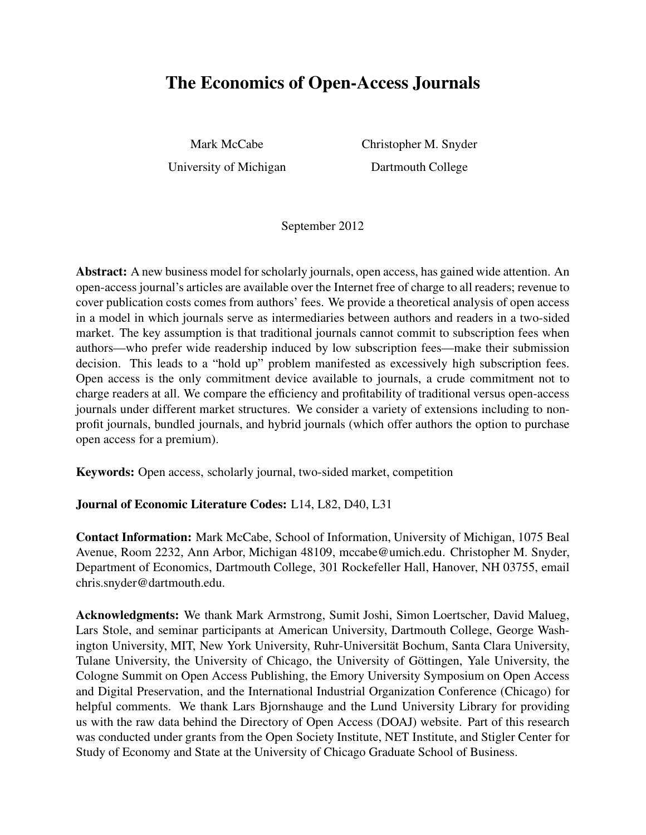# The Economics of Open-Access Journals

Mark McCabe Christopher M. Snyder University of Michigan Dartmouth College

September 2012

Abstract: A new business model for scholarly journals, open access, has gained wide attention. An open-access journal's articles are available over the Internet free of charge to all readers; revenue to cover publication costs comes from authors' fees. We provide a theoretical analysis of open access in a model in which journals serve as intermediaries between authors and readers in a two-sided market. The key assumption is that traditional journals cannot commit to subscription fees when authors—who prefer wide readership induced by low subscription fees—make their submission decision. This leads to a "hold up" problem manifested as excessively high subscription fees. Open access is the only commitment device available to journals, a crude commitment not to charge readers at all. We compare the efficiency and profitability of traditional versus open-access journals under different market structures. We consider a variety of extensions including to nonprofit journals, bundled journals, and hybrid journals (which offer authors the option to purchase open access for a premium).

Keywords: Open access, scholarly journal, two-sided market, competition

### Journal of Economic Literature Codes: L14, L82, D40, L31

Contact Information: Mark McCabe, School of Information, University of Michigan, 1075 Beal Avenue, Room 2232, Ann Arbor, Michigan 48109, mccabe@umich.edu. Christopher M. Snyder, Department of Economics, Dartmouth College, 301 Rockefeller Hall, Hanover, NH 03755, email chris.snyder@dartmouth.edu.

Acknowledgments: We thank Mark Armstrong, Sumit Joshi, Simon Loertscher, David Malueg, Lars Stole, and seminar participants at American University, Dartmouth College, George Washington University, MIT, New York University, Ruhr-Universität Bochum, Santa Clara University, Tulane University, the University of Chicago, the University of Göttingen, Yale University, the Cologne Summit on Open Access Publishing, the Emory University Symposium on Open Access and Digital Preservation, and the International Industrial Organization Conference (Chicago) for helpful comments. We thank Lars Bjornshauge and the Lund University Library for providing us with the raw data behind the Directory of Open Access (DOAJ) website. Part of this research was conducted under grants from the Open Society Institute, NET Institute, and Stigler Center for Study of Economy and State at the University of Chicago Graduate School of Business.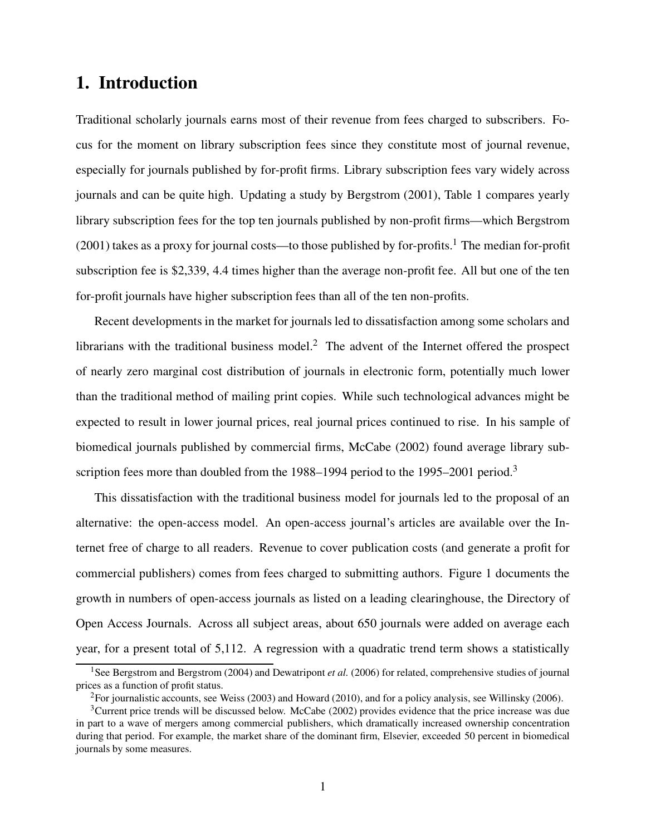# 1. Introduction

Traditional scholarly journals earns most of their revenue from fees charged to subscribers. Focus for the moment on library subscription fees since they constitute most of journal revenue, especially for journals published by for-profit firms. Library subscription fees vary widely across journals and can be quite high. Updating a study by Bergstrom (2001), Table 1 compares yearly library subscription fees for the top ten journals published by non-profit firms—which Bergstrom (2001) takes as a proxy for journal costs—to those published by for-profits.<sup>1</sup> The median for-profit subscription fee is \$2,339, 4.4 times higher than the average non-profit fee. All but one of the ten for-profit journals have higher subscription fees than all of the ten non-profits.

Recent developments in the market for journals led to dissatisfaction among some scholars and librarians with the traditional business model.<sup>2</sup> The advent of the Internet offered the prospect of nearly zero marginal cost distribution of journals in electronic form, potentially much lower than the traditional method of mailing print copies. While such technological advances might be expected to result in lower journal prices, real journal prices continued to rise. In his sample of biomedical journals published by commercial firms, McCabe (2002) found average library subscription fees more than doubled from the 1988–1994 period to the 1995–2001 period.<sup>3</sup>

This dissatisfaction with the traditional business model for journals led to the proposal of an alternative: the open-access model. An open-access journal's articles are available over the Internet free of charge to all readers. Revenue to cover publication costs (and generate a profit for commercial publishers) comes from fees charged to submitting authors. Figure 1 documents the growth in numbers of open-access journals as listed on a leading clearinghouse, the Directory of Open Access Journals. Across all subject areas, about 650 journals were added on average each year, for a present total of 5,112. A regression with a quadratic trend term shows a statistically

<sup>&</sup>lt;sup>1</sup>See Bergstrom and Bergstrom (2004) and Dewatripont *et al.* (2006) for related, comprehensive studies of journal prices as a function of profit status.

<sup>&</sup>lt;sup>2</sup>For journalistic accounts, see Weiss (2003) and Howard (2010), and for a policy analysis, see Willinsky (2006).

<sup>&</sup>lt;sup>3</sup>Current price trends will be discussed below. McCabe (2002) provides evidence that the price increase was due in part to a wave of mergers among commercial publishers, which dramatically increased ownership concentration during that period. For example, the market share of the dominant firm, Elsevier, exceeded 50 percent in biomedical journals by some measures.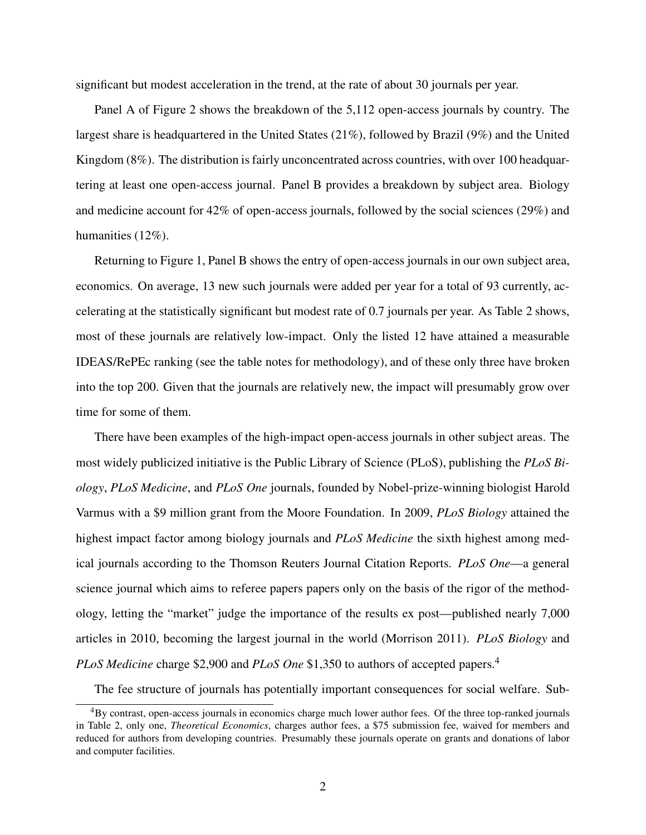significant but modest acceleration in the trend, at the rate of about 30 journals per year.

Panel A of Figure 2 shows the breakdown of the 5,112 open-access journals by country. The largest share is headquartered in the United States (21%), followed by Brazil (9%) and the United Kingdom (8%). The distribution is fairly unconcentrated across countries, with over 100 headquartering at least one open-access journal. Panel B provides a breakdown by subject area. Biology and medicine account for 42% of open-access journals, followed by the social sciences (29%) and humanities (12%).

Returning to Figure 1, Panel B shows the entry of open-access journals in our own subject area, economics. On average, 13 new such journals were added per year for a total of 93 currently, accelerating at the statistically significant but modest rate of 0.7 journals per year. As Table 2 shows, most of these journals are relatively low-impact. Only the listed 12 have attained a measurable IDEAS/RePEc ranking (see the table notes for methodology), and of these only three have broken into the top 200. Given that the journals are relatively new, the impact will presumably grow over time for some of them.

There have been examples of the high-impact open-access journals in other subject areas. The most widely publicized initiative is the Public Library of Science (PLoS), publishing the PLoS Biology, PLoS Medicine, and PLoS One journals, founded by Nobel-prize-winning biologist Harold Varmus with a \$9 million grant from the Moore Foundation. In 2009, PLoS Biology attained the highest impact factor among biology journals and *PLoS Medicine* the sixth highest among medical journals according to the Thomson Reuters Journal Citation Reports. PLoS One—a general science journal which aims to referee papers papers only on the basis of the rigor of the methodology, letting the "market" judge the importance of the results ex post—published nearly 7,000 articles in 2010, becoming the largest journal in the world (Morrison 2011). PLoS Biology and PLoS Medicine charge \$2,900 and PLoS One \$1,350 to authors of accepted papers.<sup>4</sup>

The fee structure of journals has potentially important consequences for social welfare. Sub-

<sup>&</sup>lt;sup>4</sup>By contrast, open-access journals in economics charge much lower author fees. Of the three top-ranked journals in Table 2, only one, Theoretical Economics, charges author fees, a \$75 submission fee, waived for members and reduced for authors from developing countries. Presumably these journals operate on grants and donations of labor and computer facilities.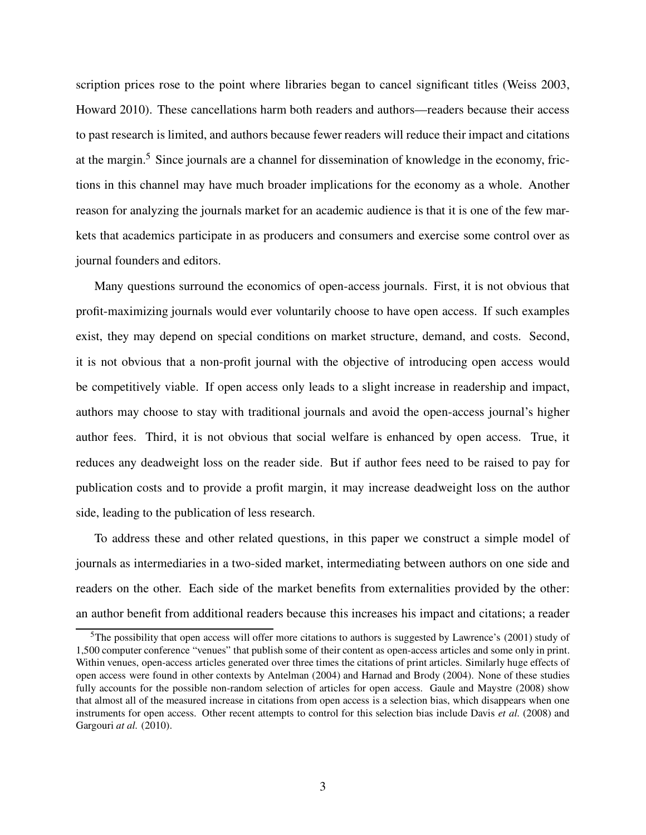scription prices rose to the point where libraries began to cancel significant titles (Weiss 2003, Howard 2010). These cancellations harm both readers and authors—readers because their access to past research is limited, and authors because fewer readers will reduce their impact and citations at the margin.<sup>5</sup> Since journals are a channel for dissemination of knowledge in the economy, frictions in this channel may have much broader implications for the economy as a whole. Another reason for analyzing the journals market for an academic audience is that it is one of the few markets that academics participate in as producers and consumers and exercise some control over as journal founders and editors.

Many questions surround the economics of open-access journals. First, it is not obvious that profit-maximizing journals would ever voluntarily choose to have open access. If such examples exist, they may depend on special conditions on market structure, demand, and costs. Second, it is not obvious that a non-profit journal with the objective of introducing open access would be competitively viable. If open access only leads to a slight increase in readership and impact, authors may choose to stay with traditional journals and avoid the open-access journal's higher author fees. Third, it is not obvious that social welfare is enhanced by open access. True, it reduces any deadweight loss on the reader side. But if author fees need to be raised to pay for publication costs and to provide a profit margin, it may increase deadweight loss on the author side, leading to the publication of less research.

To address these and other related questions, in this paper we construct a simple model of journals as intermediaries in a two-sided market, intermediating between authors on one side and readers on the other. Each side of the market benefits from externalities provided by the other: an author benefit from additional readers because this increases his impact and citations; a reader

<sup>&</sup>lt;sup>5</sup>The possibility that open access will offer more citations to authors is suggested by Lawrence's (2001) study of 1,500 computer conference "venues" that publish some of their content as open-access articles and some only in print. Within venues, open-access articles generated over three times the citations of print articles. Similarly huge effects of open access were found in other contexts by Antelman (2004) and Harnad and Brody (2004). None of these studies fully accounts for the possible non-random selection of articles for open access. Gaule and Maystre (2008) show that almost all of the measured increase in citations from open access is a selection bias, which disappears when one instruments for open access. Other recent attempts to control for this selection bias include Davis et al. (2008) and Gargouri at al. (2010).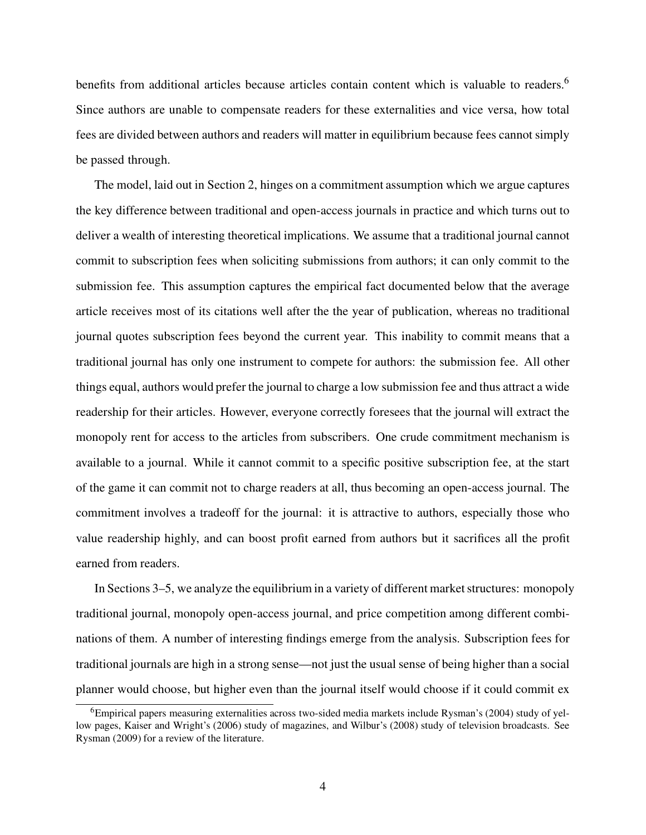benefits from additional articles because articles contain content which is valuable to readers.<sup>6</sup> Since authors are unable to compensate readers for these externalities and vice versa, how total fees are divided between authors and readers will matter in equilibrium because fees cannot simply be passed through.

The model, laid out in Section 2, hinges on a commitment assumption which we argue captures the key difference between traditional and open-access journals in practice and which turns out to deliver a wealth of interesting theoretical implications. We assume that a traditional journal cannot commit to subscription fees when soliciting submissions from authors; it can only commit to the submission fee. This assumption captures the empirical fact documented below that the average article receives most of its citations well after the the year of publication, whereas no traditional journal quotes subscription fees beyond the current year. This inability to commit means that a traditional journal has only one instrument to compete for authors: the submission fee. All other things equal, authors would prefer the journal to charge a low submission fee and thus attract a wide readership for their articles. However, everyone correctly foresees that the journal will extract the monopoly rent for access to the articles from subscribers. One crude commitment mechanism is available to a journal. While it cannot commit to a specific positive subscription fee, at the start of the game it can commit not to charge readers at all, thus becoming an open-access journal. The commitment involves a tradeoff for the journal: it is attractive to authors, especially those who value readership highly, and can boost profit earned from authors but it sacrifices all the profit earned from readers.

In Sections 3–5, we analyze the equilibrium in a variety of different market structures: monopoly traditional journal, monopoly open-access journal, and price competition among different combinations of them. A number of interesting findings emerge from the analysis. Subscription fees for traditional journals are high in a strong sense—not just the usual sense of being higher than a social planner would choose, but higher even than the journal itself would choose if it could commit ex

 $6$ Empirical papers measuring externalities across two-sided media markets include Rysman's (2004) study of yellow pages, Kaiser and Wright's (2006) study of magazines, and Wilbur's (2008) study of television broadcasts. See Rysman (2009) for a review of the literature.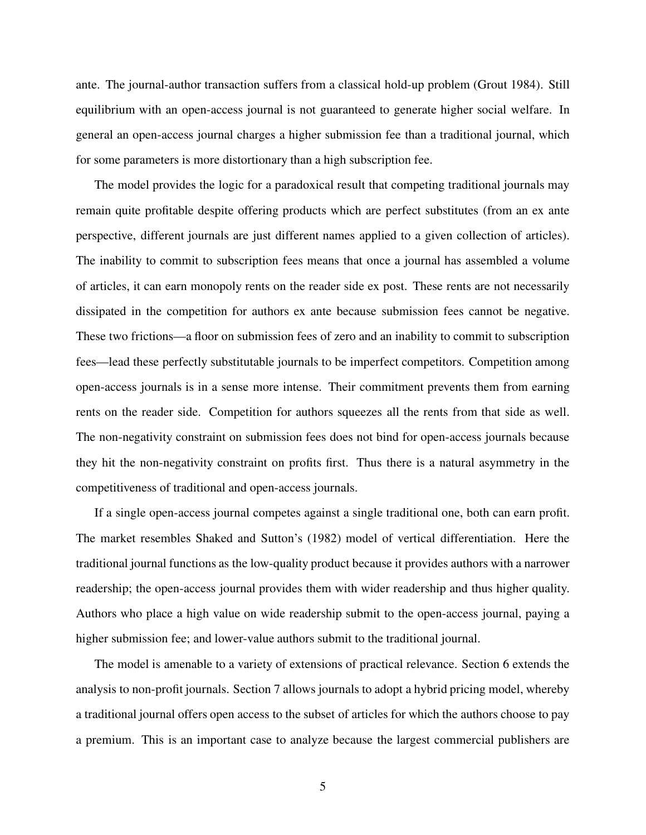ante. The journal-author transaction suffers from a classical hold-up problem (Grout 1984). Still equilibrium with an open-access journal is not guaranteed to generate higher social welfare. In general an open-access journal charges a higher submission fee than a traditional journal, which for some parameters is more distortionary than a high subscription fee.

The model provides the logic for a paradoxical result that competing traditional journals may remain quite profitable despite offering products which are perfect substitutes (from an ex ante perspective, different journals are just different names applied to a given collection of articles). The inability to commit to subscription fees means that once a journal has assembled a volume of articles, it can earn monopoly rents on the reader side ex post. These rents are not necessarily dissipated in the competition for authors ex ante because submission fees cannot be negative. These two frictions—a floor on submission fees of zero and an inability to commit to subscription fees—lead these perfectly substitutable journals to be imperfect competitors. Competition among open-access journals is in a sense more intense. Their commitment prevents them from earning rents on the reader side. Competition for authors squeezes all the rents from that side as well. The non-negativity constraint on submission fees does not bind for open-access journals because they hit the non-negativity constraint on profits first. Thus there is a natural asymmetry in the competitiveness of traditional and open-access journals.

If a single open-access journal competes against a single traditional one, both can earn profit. The market resembles Shaked and Sutton's (1982) model of vertical differentiation. Here the traditional journal functions as the low-quality product because it provides authors with a narrower readership; the open-access journal provides them with wider readership and thus higher quality. Authors who place a high value on wide readership submit to the open-access journal, paying a higher submission fee; and lower-value authors submit to the traditional journal.

The model is amenable to a variety of extensions of practical relevance. Section 6 extends the analysis to non-profit journals. Section 7 allows journals to adopt a hybrid pricing model, whereby a traditional journal offers open access to the subset of articles for which the authors choose to pay a premium. This is an important case to analyze because the largest commercial publishers are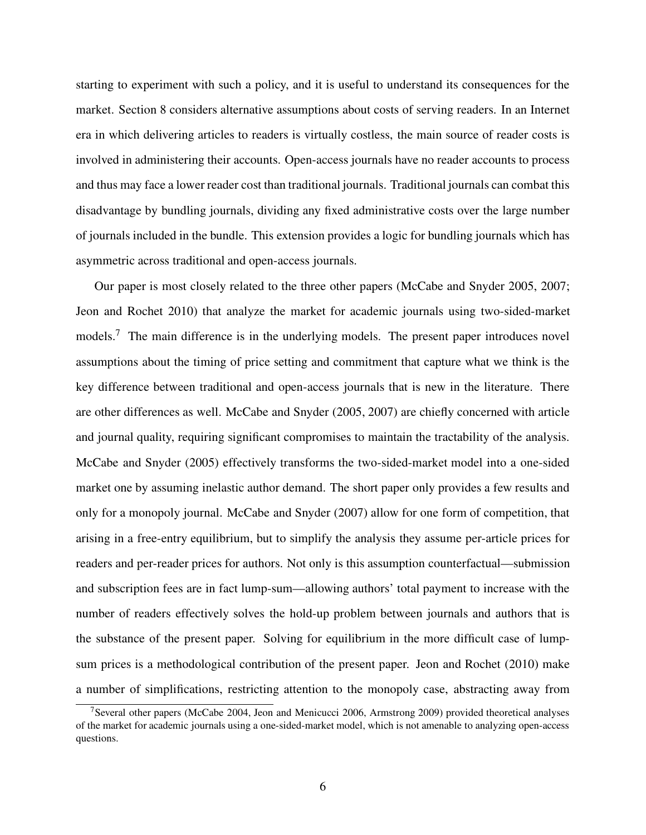starting to experiment with such a policy, and it is useful to understand its consequences for the market. Section 8 considers alternative assumptions about costs of serving readers. In an Internet era in which delivering articles to readers is virtually costless, the main source of reader costs is involved in administering their accounts. Open-access journals have no reader accounts to process and thus may face a lower reader cost than traditional journals. Traditional journals can combat this disadvantage by bundling journals, dividing any fixed administrative costs over the large number of journals included in the bundle. This extension provides a logic for bundling journals which has asymmetric across traditional and open-access journals.

Our paper is most closely related to the three other papers (McCabe and Snyder 2005, 2007; Jeon and Rochet 2010) that analyze the market for academic journals using two-sided-market models.<sup>7</sup> The main difference is in the underlying models. The present paper introduces novel assumptions about the timing of price setting and commitment that capture what we think is the key difference between traditional and open-access journals that is new in the literature. There are other differences as well. McCabe and Snyder (2005, 2007) are chiefly concerned with article and journal quality, requiring significant compromises to maintain the tractability of the analysis. McCabe and Snyder (2005) effectively transforms the two-sided-market model into a one-sided market one by assuming inelastic author demand. The short paper only provides a few results and only for a monopoly journal. McCabe and Snyder (2007) allow for one form of competition, that arising in a free-entry equilibrium, but to simplify the analysis they assume per-article prices for readers and per-reader prices for authors. Not only is this assumption counterfactual—submission and subscription fees are in fact lump-sum—allowing authors' total payment to increase with the number of readers effectively solves the hold-up problem between journals and authors that is the substance of the present paper. Solving for equilibrium in the more difficult case of lumpsum prices is a methodological contribution of the present paper. Jeon and Rochet (2010) make a number of simplifications, restricting attention to the monopoly case, abstracting away from

<sup>&</sup>lt;sup>7</sup>Several other papers (McCabe 2004, Jeon and Menicucci 2006, Armstrong 2009) provided theoretical analyses of the market for academic journals using a one-sided-market model, which is not amenable to analyzing open-access questions.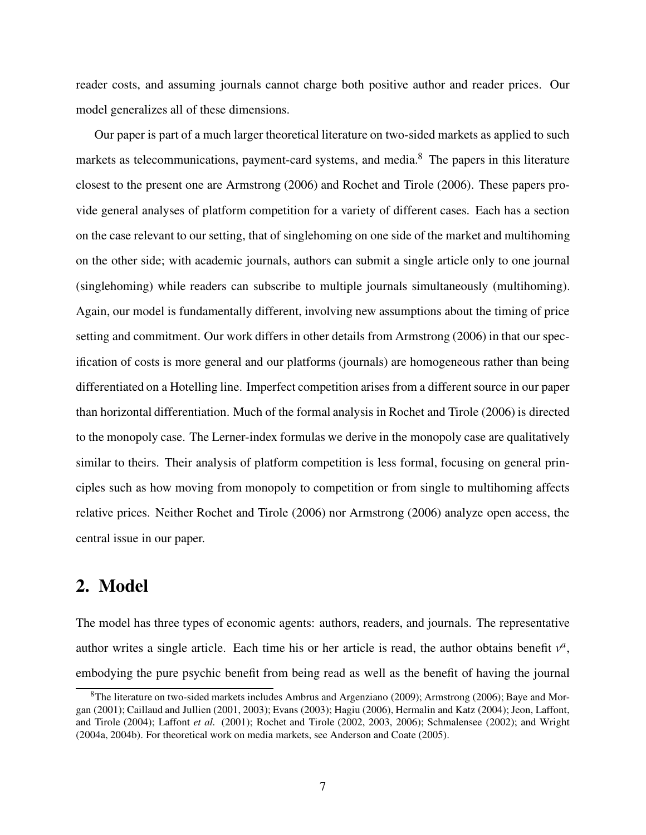reader costs, and assuming journals cannot charge both positive author and reader prices. Our model generalizes all of these dimensions.

Our paper is part of a much larger theoretical literature on two-sided markets as applied to such markets as telecommunications, payment-card systems, and media.<sup>8</sup> The papers in this literature closest to the present one are Armstrong (2006) and Rochet and Tirole (2006). These papers provide general analyses of platform competition for a variety of different cases. Each has a section on the case relevant to our setting, that of singlehoming on one side of the market and multihoming on the other side; with academic journals, authors can submit a single article only to one journal (singlehoming) while readers can subscribe to multiple journals simultaneously (multihoming). Again, our model is fundamentally different, involving new assumptions about the timing of price setting and commitment. Our work differs in other details from Armstrong (2006) in that our specification of costs is more general and our platforms (journals) are homogeneous rather than being differentiated on a Hotelling line. Imperfect competition arises from a different source in our paper than horizontal differentiation. Much of the formal analysis in Rochet and Tirole (2006) is directed to the monopoly case. The Lerner-index formulas we derive in the monopoly case are qualitatively similar to theirs. Their analysis of platform competition is less formal, focusing on general principles such as how moving from monopoly to competition or from single to multihoming affects relative prices. Neither Rochet and Tirole (2006) nor Armstrong (2006) analyze open access, the central issue in our paper.

## 2. Model

The model has three types of economic agents: authors, readers, and journals. The representative author writes a single article. Each time his or her article is read, the author obtains benefit  $v^a$ , embodying the pure psychic benefit from being read as well as the benefit of having the journal

<sup>8</sup>The literature on two-sided markets includes Ambrus and Argenziano (2009); Armstrong (2006); Baye and Morgan (2001); Caillaud and Jullien (2001, 2003); Evans (2003); Hagiu (2006), Hermalin and Katz (2004); Jeon, Laffont, and Tirole (2004); Laffont et al. (2001); Rochet and Tirole (2002, 2003, 2006); Schmalensee (2002); and Wright (2004a, 2004b). For theoretical work on media markets, see Anderson and Coate (2005).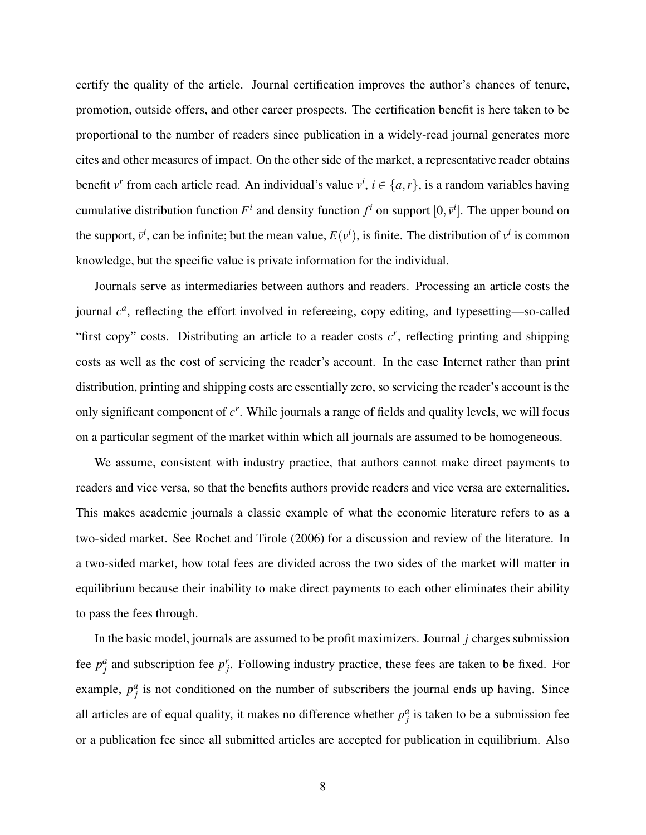certify the quality of the article. Journal certification improves the author's chances of tenure, promotion, outside offers, and other career prospects. The certification benefit is here taken to be proportional to the number of readers since publication in a widely-read journal generates more cites and other measures of impact. On the other side of the market, a representative reader obtains benefit v<sup>r</sup> from each article read. An individual's value  $v^i$ ,  $i \in \{a, r\}$ , is a random variables having cumulative distribution function  $F^i$  and density function  $f^i$  on support  $[0, \bar{v}^i]$ . The upper bound on the support,  $\bar{v}^i$ , can be infinite; but the mean value,  $E(v^i)$ , is finite. The distribution of  $v^i$  is common knowledge, but the specific value is private information for the individual.

Journals serve as intermediaries between authors and readers. Processing an article costs the journal  $c<sup>a</sup>$ , reflecting the effort involved in refereeing, copy editing, and typesetting—so-called "first copy" costs. Distributing an article to a reader costs  $c<sup>r</sup>$ , reflecting printing and shipping costs as well as the cost of servicing the reader's account. In the case Internet rather than print distribution, printing and shipping costs are essentially zero, so servicing the reader's account is the only significant component of  $c<sup>r</sup>$ . While journals a range of fields and quality levels, we will focus on a particular segment of the market within which all journals are assumed to be homogeneous.

We assume, consistent with industry practice, that authors cannot make direct payments to readers and vice versa, so that the benefits authors provide readers and vice versa are externalities. This makes academic journals a classic example of what the economic literature refers to as a two-sided market. See Rochet and Tirole (2006) for a discussion and review of the literature. In a two-sided market, how total fees are divided across the two sides of the market will matter in equilibrium because their inability to make direct payments to each other eliminates their ability to pass the fees through.

In the basic model, journals are assumed to be profit maximizers. Journal j charges submission fee  $p_j^a$  and subscription fee  $p_j^r$ . Following industry practice, these fees are taken to be fixed. For example,  $p_j^a$  is not conditioned on the number of subscribers the journal ends up having. Since all articles are of equal quality, it makes no difference whether  $p_j^a$  is taken to be a submission fee or a publication fee since all submitted articles are accepted for publication in equilibrium. Also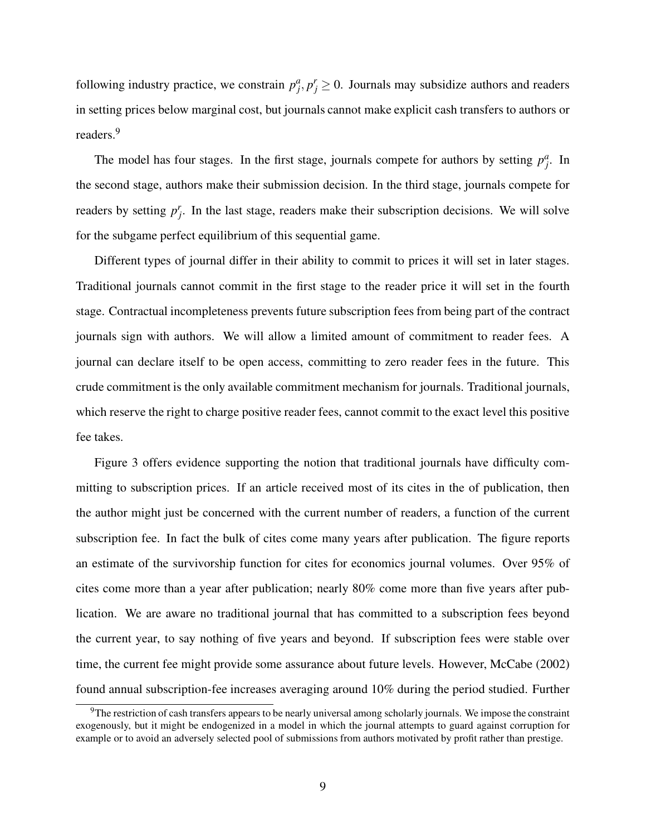following industry practice, we constrain  $p_j^a, p_j^r \ge 0$ . Journals may subsidize authors and readers in setting prices below marginal cost, but journals cannot make explicit cash transfers to authors or readers.<sup>9</sup>

The model has four stages. In the first stage, journals compete for authors by setting  $p_j^a$ . In the second stage, authors make their submission decision. In the third stage, journals compete for readers by setting  $p_j^r$ . In the last stage, readers make their subscription decisions. We will solve for the subgame perfect equilibrium of this sequential game.

Different types of journal differ in their ability to commit to prices it will set in later stages. Traditional journals cannot commit in the first stage to the reader price it will set in the fourth stage. Contractual incompleteness prevents future subscription fees from being part of the contract journals sign with authors. We will allow a limited amount of commitment to reader fees. A journal can declare itself to be open access, committing to zero reader fees in the future. This crude commitment is the only available commitment mechanism for journals. Traditional journals, which reserve the right to charge positive reader fees, cannot commit to the exact level this positive fee takes.

Figure 3 offers evidence supporting the notion that traditional journals have difficulty committing to subscription prices. If an article received most of its cites in the of publication, then the author might just be concerned with the current number of readers, a function of the current subscription fee. In fact the bulk of cites come many years after publication. The figure reports an estimate of the survivorship function for cites for economics journal volumes. Over 95% of cites come more than a year after publication; nearly 80% come more than five years after publication. We are aware no traditional journal that has committed to a subscription fees beyond the current year, to say nothing of five years and beyond. If subscription fees were stable over time, the current fee might provide some assurance about future levels. However, McCabe (2002) found annual subscription-fee increases averaging around 10% during the period studied. Further

 $9$ The restriction of cash transfers appears to be nearly universal among scholarly journals. We impose the constraint exogenously, but it might be endogenized in a model in which the journal attempts to guard against corruption for example or to avoid an adversely selected pool of submissions from authors motivated by profit rather than prestige.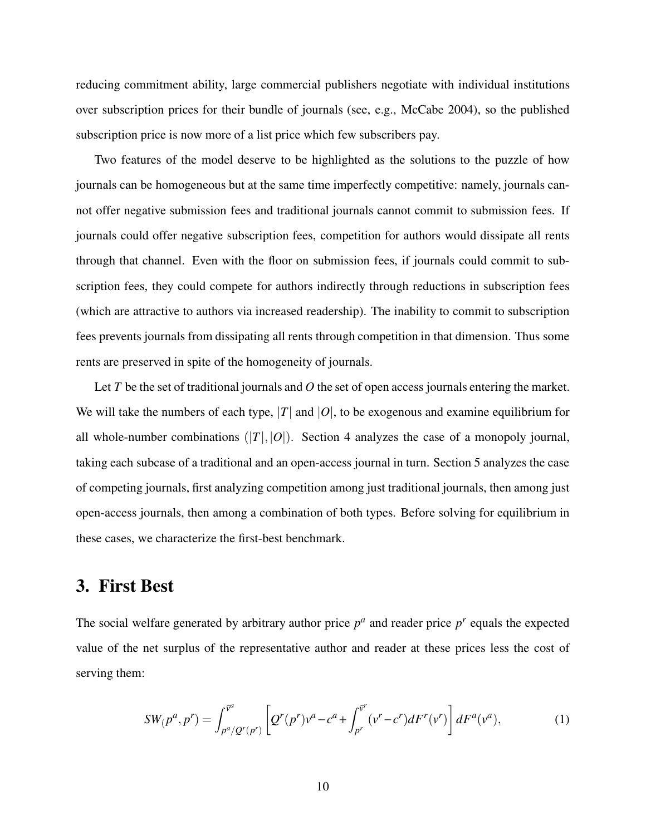reducing commitment ability, large commercial publishers negotiate with individual institutions over subscription prices for their bundle of journals (see, e.g., McCabe 2004), so the published subscription price is now more of a list price which few subscribers pay.

Two features of the model deserve to be highlighted as the solutions to the puzzle of how journals can be homogeneous but at the same time imperfectly competitive: namely, journals cannot offer negative submission fees and traditional journals cannot commit to submission fees. If journals could offer negative subscription fees, competition for authors would dissipate all rents through that channel. Even with the floor on submission fees, if journals could commit to subscription fees, they could compete for authors indirectly through reductions in subscription fees (which are attractive to authors via increased readership). The inability to commit to subscription fees prevents journals from dissipating all rents through competition in that dimension. Thus some rents are preserved in spite of the homogeneity of journals.

Let T be the set of traditional journals and O the set of open access journals entering the market. We will take the numbers of each type, |T| and  $|O|$ , to be exogenous and examine equilibrium for all whole-number combinations  $(|T|,|O|)$ . Section 4 analyzes the case of a monopoly journal, taking each subcase of a traditional and an open-access journal in turn. Section 5 analyzes the case of competing journals, first analyzing competition among just traditional journals, then among just open-access journals, then among a combination of both types. Before solving for equilibrium in these cases, we characterize the first-best benchmark.

# 3. First Best

The social welfare generated by arbitrary author price  $p^a$  and reader price  $p^r$  equals the expected value of the net surplus of the representative author and reader at these prices less the cost of serving them:

$$
SW(p^a, p^r) = \int_{p^a/Q^r(p^r)}^{\bar{v}^a} \left[ Q^r(p^r) v^a - c^a + \int_{p^r}^{\bar{v}^r} (v^r - c^r) dF^r(v^r) \right] dF^a(v^a),\tag{1}
$$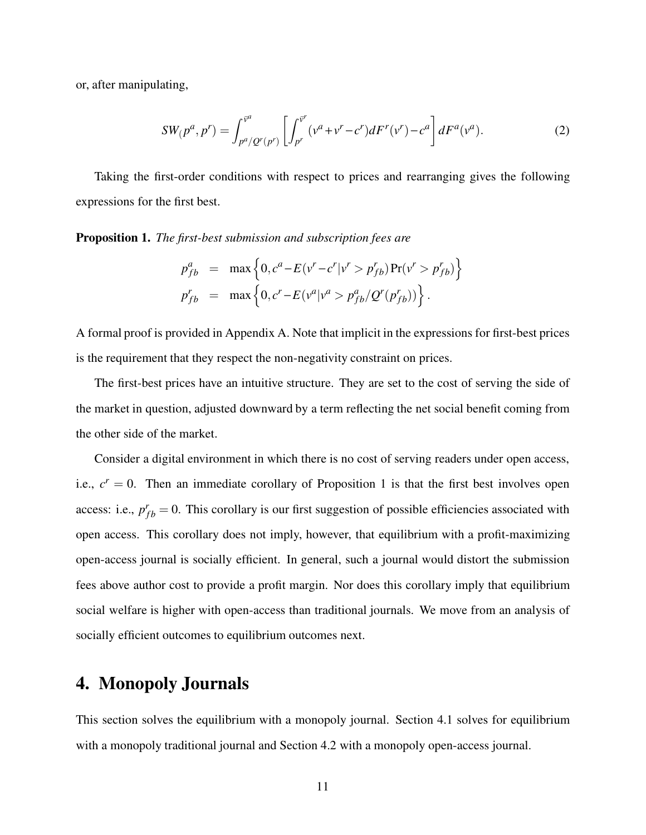or, after manipulating,

$$
SW_{p^a, p^r} = \int_{p^a / Q^r(p^r)}^{\bar{v}^a} \left[ \int_{p^r}^{\bar{v}^r} (\nu^a + \nu^r - c^r) dF'(v^r) - c^a \right] dF^a(v^a).
$$
 (2)

Taking the first-order conditions with respect to prices and rearranging gives the following expressions for the first best.

Proposition 1. The first-best submission and subscription fees are

$$
p_{fb}^{a} = \max \left\{ 0, c^{a} - E(v^{r} - c^{r}|v^{r} > p_{fb}^{r}) \Pr(v^{r} > p_{fb}^{r}) \right\}
$$
  
\n
$$
p_{fb}^{r} = \max \left\{ 0, c^{r} - E(v^{a}|v^{a} > p_{fb}^{a}/Q^{r}(p_{fb}^{r})) \right\}.
$$

A formal proof is provided in Appendix A. Note that implicit in the expressions for first-best prices is the requirement that they respect the non-negativity constraint on prices.

The first-best prices have an intuitive structure. They are set to the cost of serving the side of the market in question, adjusted downward by a term reflecting the net social benefit coming from the other side of the market.

Consider a digital environment in which there is no cost of serving readers under open access, i.e.,  $c^r = 0$ . Then an immediate corollary of Proposition 1 is that the first best involves open access: i.e.,  $p_{fb}^r = 0$ . This corollary is our first suggestion of possible efficiencies associated with open access. This corollary does not imply, however, that equilibrium with a profit-maximizing open-access journal is socially efficient. In general, such a journal would distort the submission fees above author cost to provide a profit margin. Nor does this corollary imply that equilibrium social welfare is higher with open-access than traditional journals. We move from an analysis of socially efficient outcomes to equilibrium outcomes next.

# 4. Monopoly Journals

This section solves the equilibrium with a monopoly journal. Section 4.1 solves for equilibrium with a monopoly traditional journal and Section 4.2 with a monopoly open-access journal.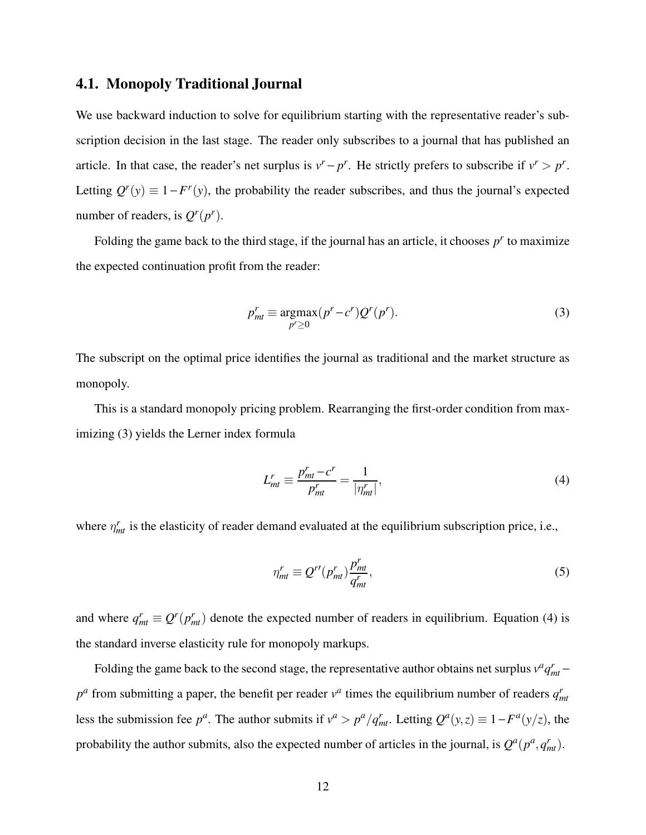### 4.1. Monopoly Traditional Journal

We use backward induction to solve for equilibrium starting with the representative reader's subscription decision in the last stage. The reader only subscribes to a journal that has published an article. In that case, the reader's net surplus is  $v^r - p^r$ . He strictly prefers to subscribe if  $v^r > p^r$ . Letting  $Q^r(y) \equiv 1 - F^r(y)$ , the probability the reader subscribes, and thus the journal's expected number of readers, is  $Q^r(p^r)$ .

Folding the game back to the third stage, if the journal has an article, it chooses  $p<sup>r</sup>$  to maximize the expected continuation profit from the reader:

$$
p'_{mt} \equiv \underset{p' \ge 0}{\operatorname{argmax}} (p^r - c^r) Q^r(p^r). \tag{3}
$$

The subscript on the optimal price identifies the journal as traditional and the market structure as monopoly.

This is a standard monopoly pricing problem. Rearranging the first-order condition from maximizing (3) yields the Lerner index formula

$$
L_{mt}^r \equiv \frac{p_{mt}^r - c^r}{p_{mt}^r} = \frac{1}{|\eta_{mt}^r|},\tag{4}
$$

where  $\eta_{mt}^r$  is the elasticity of reader demand evaluated at the equilibrium subscription price, i.e.,

$$
\eta_{mt}^r \equiv Q^{r\prime}(p_{mt}^r)\frac{p_{mt}^r}{q_{mt}^r},\tag{5}
$$

and where  $q_{mt}^r \equiv Q^r(p_{mt}^r)$  denote the expected number of readers in equilibrium. Equation (4) is the standard inverse elasticity rule for monopoly markups.

Folding the game back to the second stage, the representative author obtains net surplus  $v^a q_{mt}^r$  –  $p^a$  from submitting a paper, the benefit per reader  $v^a$  times the equilibrium number of readers  $q_{mt}^r$ less the submission fee  $p^a$ . The author submits if  $v^a > p^a/q_{mt}^r$ . Letting  $Q^a(y, z) \equiv 1 - F^a(y/z)$ , the probability the author submits, also the expected number of articles in the journal, is  $Q^a(p^a, q^r_m)$ .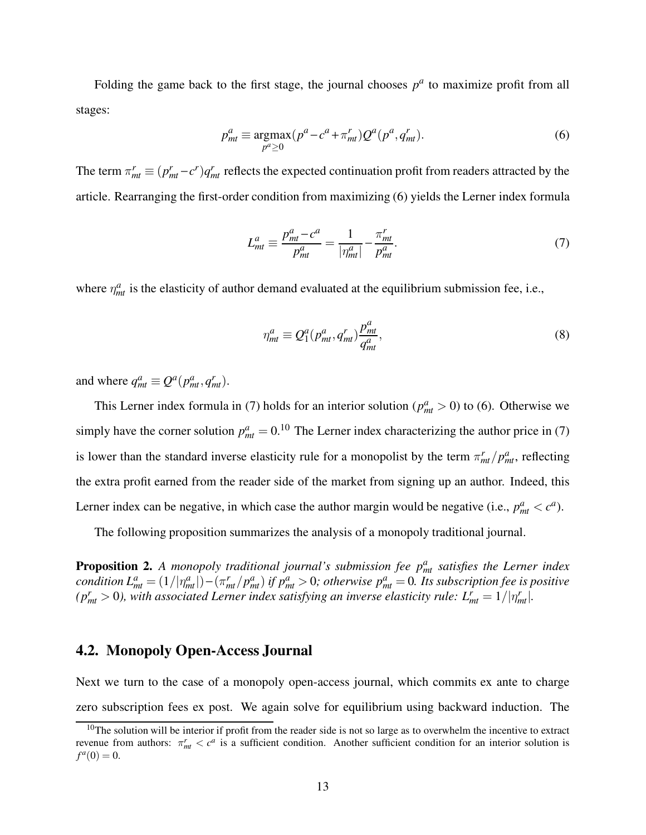Folding the game back to the first stage, the journal chooses  $p^a$  to maximize profit from all stages:

$$
pmta \equiv \underset{pa \ge 0}{\arg\max} (pa - ca + \pimtr) Qa (pa, qmtr).
$$
 (6)

The term  $\pi_{mt}^r \equiv (p_{mt}^r - c^r) q_{mt}^r$  reflects the expected continuation profit from readers attracted by the article. Rearranging the first-order condition from maximizing (6) yields the Lerner index formula

$$
L_{mt}^a \equiv \frac{p_{mt}^a - c^a}{p_{mt}^a} = \frac{1}{|\eta_{mt}^a|} - \frac{\pi_{mt}^r}{p_{mt}^a}.
$$
 (7)

where  $\eta_{mt}^a$  is the elasticity of author demand evaluated at the equilibrium submission fee, i.e.,

$$
\eta_{mt}^a \equiv Q_1^a(p_{mt}^a, q_{mt}^r) \frac{p_{mt}^a}{q_{mt}^a},\tag{8}
$$

and where  $q_{mt}^a \equiv Q^a(p_{mt}^a, q_{mt}^r)$ .

This Lerner index formula in (7) holds for an interior solution ( $p_{mt}^a > 0$ ) to (6). Otherwise we simply have the corner solution  $p_{mt}^a = 0.10$  The Lerner index characterizing the author price in (7) is lower than the standard inverse elasticity rule for a monopolist by the term  $\pi_{mt}^r/p_{mt}^a$ , reflecting the extra profit earned from the reader side of the market from signing up an author. Indeed, this Lerner index can be negative, in which case the author margin would be negative (i.e.,  $p_{mt}^a < c^a$ ).

The following proposition summarizes the analysis of a monopoly traditional journal.

**Proposition 2.** A monopoly traditional journal's submission fee  $p_{mt}^a$  satisfies the Lerner index condition  $L^a_{mt} = (1/|\eta^a_{mt}|) - (\pi^r_{mt}/p^a_{mt})$  if  $p^a_{mt} > 0$ ; otherwise  $p^a_{mt} = 0$ . Its subscription fee is positive ( $p_{mt}^r > 0$ ), with associated Lerner index satisfying an inverse elasticity rule:  $L_{mt}^r = 1/|\eta_{mt}^r|$ .

### 4.2. Monopoly Open-Access Journal

Next we turn to the case of a monopoly open-access journal, which commits ex ante to charge zero subscription fees ex post. We again solve for equilibrium using backward induction. The

 $10$ The solution will be interior if profit from the reader side is not so large as to overwhelm the incentive to extract revenue from authors:  $\pi_{mt}^r < c^a$  is a sufficient condition. Another sufficient condition for an interior solution is  $f^a(0) = 0.$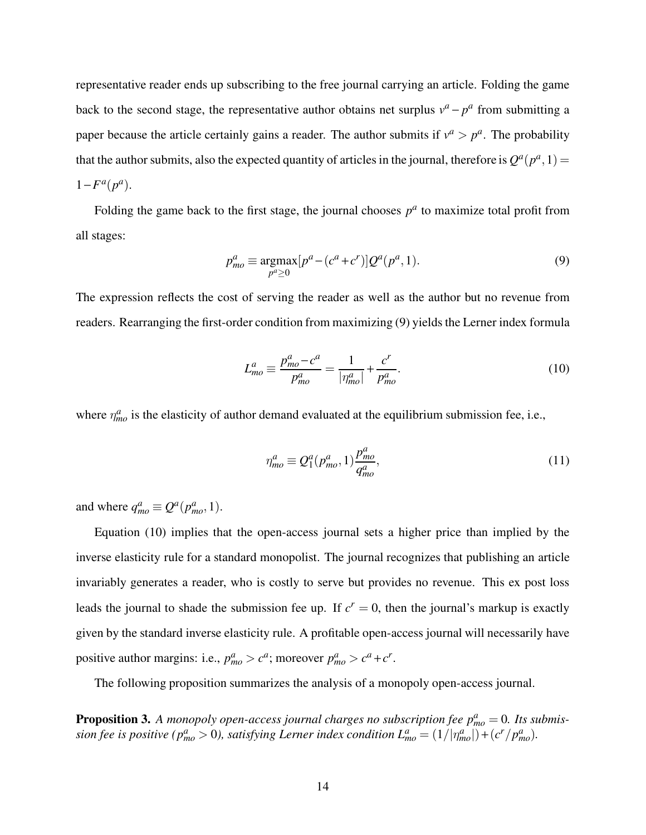representative reader ends up subscribing to the free journal carrying an article. Folding the game back to the second stage, the representative author obtains net surplus  $v^a - p^a$  from submitting a paper because the article certainly gains a reader. The author submits if  $v^a > p^a$ . The probability that the author submits, also the expected quantity of articles in the journal, therefore is  $Q^a(p^a, 1)$  =  $1 - F^a(p^a)$ .

Folding the game back to the first stage, the journal chooses  $p^a$  to maximize total profit from all stages:

$$
p_{mo}^a \equiv \underset{p^a \ge 0}{\text{argmax}} [p^a - (c^a + c^r)] Q^a(p^a, 1). \tag{9}
$$

The expression reflects the cost of serving the reader as well as the author but no revenue from readers. Rearranging the first-order condition from maximizing (9) yields the Lerner index formula

$$
L_{mo}^a \equiv \frac{p_{mo}^a - c^a}{p_{mo}^a} = \frac{1}{|\eta_{mo}^a|} + \frac{c^r}{p_{mo}^a}.
$$
 (10)

where  $\eta_{mo}^a$  is the elasticity of author demand evaluated at the equilibrium submission fee, i.e.,

$$
\eta_{mo}^a \equiv Q_1^a(p_{mo}^a, 1) \frac{p_{mo}^a}{q_{mo}^a},\tag{11}
$$

and where  $q_{mo}^a \equiv Q^a(p_{mo}^a, 1)$ .

Equation (10) implies that the open-access journal sets a higher price than implied by the inverse elasticity rule for a standard monopolist. The journal recognizes that publishing an article invariably generates a reader, who is costly to serve but provides no revenue. This ex post loss leads the journal to shade the submission fee up. If  $c^r = 0$ , then the journal's markup is exactly given by the standard inverse elasticity rule. A profitable open-access journal will necessarily have positive author margins: i.e.,  $p_{mo}^a > c^a$ ; moreover  $p_{mo}^a > c^a + c^r$ .

The following proposition summarizes the analysis of a monopoly open-access journal.

**Proposition 3.** A monopoly open-access journal charges no subscription fee  $p_{mo}^a = 0$ . Its submission fee is positive ( $p_{mo}^a > 0$ ), satisfying Lerner index condition  $L_{mo}^a = (1/|\eta_{mo}^a|) + (c^r/p_{mo}^a)$ .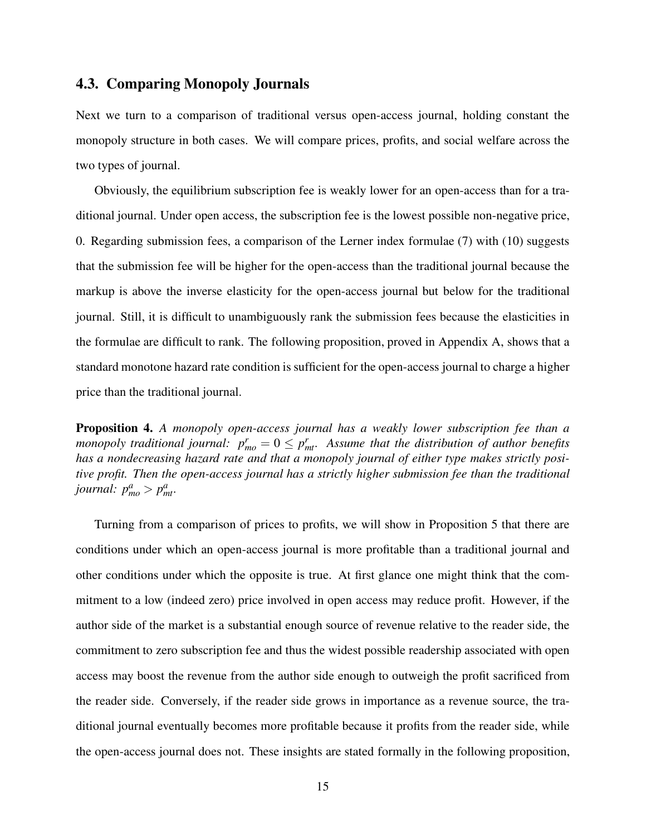### 4.3. Comparing Monopoly Journals

Next we turn to a comparison of traditional versus open-access journal, holding constant the monopoly structure in both cases. We will compare prices, profits, and social welfare across the two types of journal.

Obviously, the equilibrium subscription fee is weakly lower for an open-access than for a traditional journal. Under open access, the subscription fee is the lowest possible non-negative price, 0. Regarding submission fees, a comparison of the Lerner index formulae (7) with (10) suggests that the submission fee will be higher for the open-access than the traditional journal because the markup is above the inverse elasticity for the open-access journal but below for the traditional journal. Still, it is difficult to unambiguously rank the submission fees because the elasticities in the formulae are difficult to rank. The following proposition, proved in Appendix A, shows that a standard monotone hazard rate condition is sufficient for the open-access journal to charge a higher price than the traditional journal.

Proposition 4. A monopoly open-access journal has a weakly lower subscription fee than a monopoly traditional journal:  $p_{mo}^r = 0 \leq p_{mt}^r$ . Assume that the distribution of author benefits has a nondecreasing hazard rate and that a monopoly journal of either type makes strictly positive profit. Then the open-access journal has a strictly higher submission fee than the traditional journal:  $p_{mo}^a > p_{mt}^a$ .

Turning from a comparison of prices to profits, we will show in Proposition 5 that there are conditions under which an open-access journal is more profitable than a traditional journal and other conditions under which the opposite is true. At first glance one might think that the commitment to a low (indeed zero) price involved in open access may reduce profit. However, if the author side of the market is a substantial enough source of revenue relative to the reader side, the commitment to zero subscription fee and thus the widest possible readership associated with open access may boost the revenue from the author side enough to outweigh the profit sacrificed from the reader side. Conversely, if the reader side grows in importance as a revenue source, the traditional journal eventually becomes more profitable because it profits from the reader side, while the open-access journal does not. These insights are stated formally in the following proposition,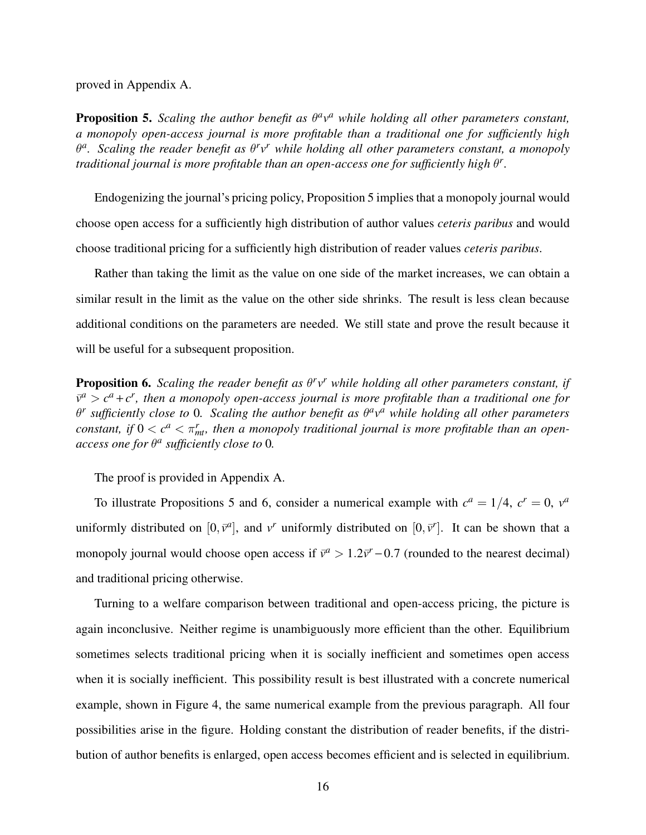proved in Appendix A.

**Proposition 5.** Scaling the author benefit as  $\theta^a v^a$  while holding all other parameters constant, a monopoly open-access journal is more profitable than a traditional one for sufficiently high  $\theta^a$ . Scaling the reader benefit as  $\theta^r v^r$  while holding all other parameters constant, a monopoly traditional journal is more profitable than an open-access one for sufficiently high  $\theta^r$ .

Endogenizing the journal's pricing policy, Proposition 5 implies that a monopoly journal would choose open access for a sufficiently high distribution of author values ceteris paribus and would choose traditional pricing for a sufficiently high distribution of reader values ceteris paribus.

Rather than taking the limit as the value on one side of the market increases, we can obtain a similar result in the limit as the value on the other side shrinks. The result is less clean because additional conditions on the parameters are needed. We still state and prove the result because it will be useful for a subsequent proposition.

**Proposition 6.** Scaling the reader benefit as  $\theta^r v^r$  while holding all other parameters constant, if  $\bar{v}^a > c^a + c^r$ , then a monopoly open-access journal is more profitable than a traditional one for  $\theta^r$  sufficiently close to 0. Scaling the author benefit as  $\theta^a v^a$  while holding all other parameters constant, if  $0 < c^a < \pi_{mt}^r$ , then a monopoly traditional journal is more profitable than an openaccess one for  $\theta^a$  sufficiently close to 0.

The proof is provided in Appendix A.

To illustrate Propositions 5 and 6, consider a numerical example with  $c^a = 1/4$ ,  $c^r = 0$ ,  $v^a$ uniformly distributed on  $[0, \bar{v}^a]$ , and v<sup>r</sup> uniformly distributed on  $[0, \bar{v}^r]$ . It can be shown that a monopoly journal would choose open access if  $\bar{v}^a > 1.2\bar{v}^r - 0.7$  (rounded to the nearest decimal) and traditional pricing otherwise.

Turning to a welfare comparison between traditional and open-access pricing, the picture is again inconclusive. Neither regime is unambiguously more efficient than the other. Equilibrium sometimes selects traditional pricing when it is socially inefficient and sometimes open access when it is socially inefficient. This possibility result is best illustrated with a concrete numerical example, shown in Figure 4, the same numerical example from the previous paragraph. All four possibilities arise in the figure. Holding constant the distribution of reader benefits, if the distribution of author benefits is enlarged, open access becomes efficient and is selected in equilibrium.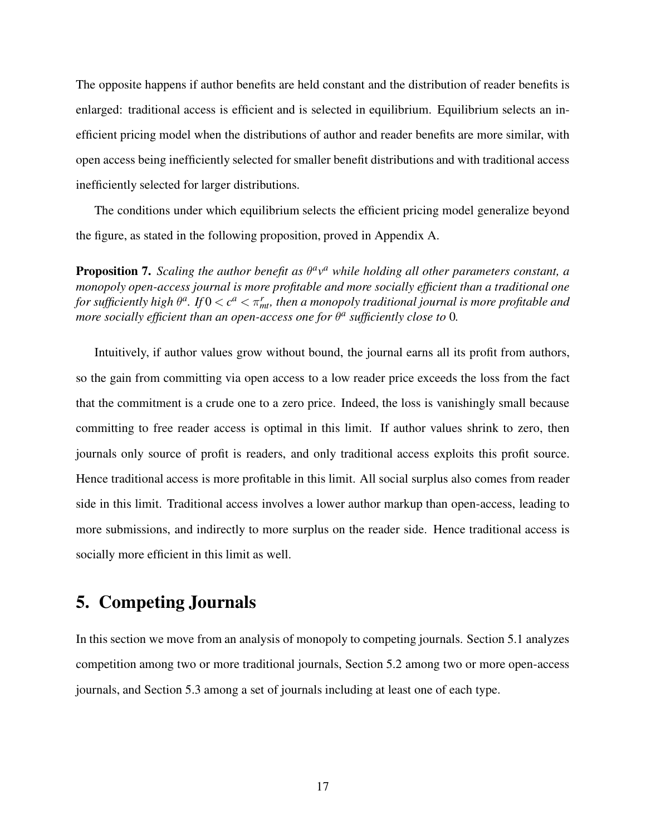The opposite happens if author benefits are held constant and the distribution of reader benefits is enlarged: traditional access is efficient and is selected in equilibrium. Equilibrium selects an inefficient pricing model when the distributions of author and reader benefits are more similar, with open access being inefficiently selected for smaller benefit distributions and with traditional access inefficiently selected for larger distributions.

The conditions under which equilibrium selects the efficient pricing model generalize beyond the figure, as stated in the following proposition, proved in Appendix A.

**Proposition 7.** Scaling the author benefit as  $\theta^a v^a$  while holding all other parameters constant, a monopoly open-access journal is more profitable and more socially efficient than a traditional one for sufficiently high  $\theta^a$ . If  $0 < c^a < \pi_{m\!t}^r$ , then a monopoly traditional journal is more profitable and more socially efficient than an open-access one for  $\theta^a$  sufficiently close to 0.

Intuitively, if author values grow without bound, the journal earns all its profit from authors, so the gain from committing via open access to a low reader price exceeds the loss from the fact that the commitment is a crude one to a zero price. Indeed, the loss is vanishingly small because committing to free reader access is optimal in this limit. If author values shrink to zero, then journals only source of profit is readers, and only traditional access exploits this profit source. Hence traditional access is more profitable in this limit. All social surplus also comes from reader side in this limit. Traditional access involves a lower author markup than open-access, leading to more submissions, and indirectly to more surplus on the reader side. Hence traditional access is socially more efficient in this limit as well.

## 5. Competing Journals

In this section we move from an analysis of monopoly to competing journals. Section 5.1 analyzes competition among two or more traditional journals, Section 5.2 among two or more open-access journals, and Section 5.3 among a set of journals including at least one of each type.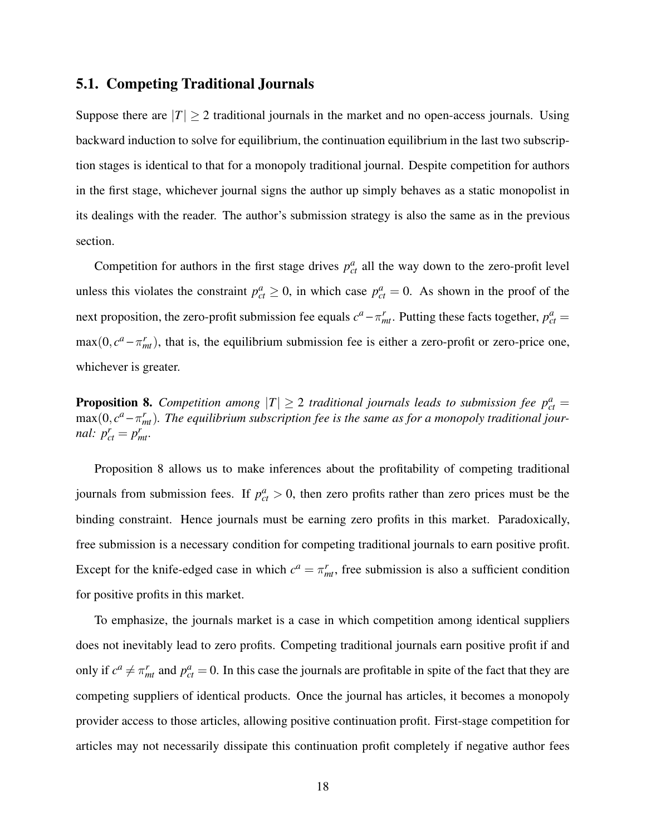### 5.1. Competing Traditional Journals

Suppose there are  $|T| \ge 2$  traditional journals in the market and no open-access journals. Using backward induction to solve for equilibrium, the continuation equilibrium in the last two subscription stages is identical to that for a monopoly traditional journal. Despite competition for authors in the first stage, whichever journal signs the author up simply behaves as a static monopolist in its dealings with the reader. The author's submission strategy is also the same as in the previous section.

Competition for authors in the first stage drives  $p_{ct}^a$  all the way down to the zero-profit level unless this violates the constraint  $p_{ct}^a \ge 0$ , in which case  $p_{ct}^a = 0$ . As shown in the proof of the next proposition, the zero-profit submission fee equals  $c^a - \pi_{mt}^r$ . Putting these facts together,  $p_{ct}^a =$  $\max(0, c^a - \pi_{mt}^r)$ , that is, the equilibrium submission fee is either a zero-profit or zero-price one, whichever is greater.

**Proposition 8.** Competition among  $|T| \geq 2$  traditional journals leads to submission fee  $p_{ct}^a$  =  $\max(0, c^a - \pi_{mt}^r)$ . The equilibrium subscription fee is the same as for a monopoly traditional journal:  $p_{ct}^r = p_{mt}^r$ .

Proposition 8 allows us to make inferences about the profitability of competing traditional journals from submission fees. If  $p_{ct}^a > 0$ , then zero profits rather than zero prices must be the binding constraint. Hence journals must be earning zero profits in this market. Paradoxically, free submission is a necessary condition for competing traditional journals to earn positive profit. Except for the knife-edged case in which  $c^a = \pi^r_{mt}$ , free submission is also a sufficient condition for positive profits in this market.

To emphasize, the journals market is a case in which competition among identical suppliers does not inevitably lead to zero profits. Competing traditional journals earn positive profit if and only if  $c^a \neq \pi_{mt}^r$  and  $p_{ct}^a = 0$ . In this case the journals are profitable in spite of the fact that they are competing suppliers of identical products. Once the journal has articles, it becomes a monopoly provider access to those articles, allowing positive continuation profit. First-stage competition for articles may not necessarily dissipate this continuation profit completely if negative author fees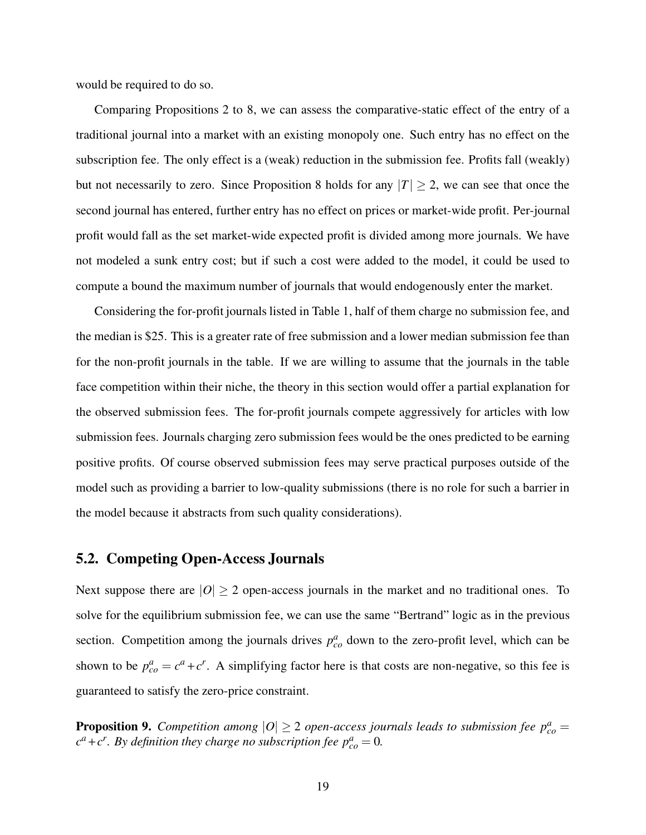would be required to do so.

Comparing Propositions 2 to 8, we can assess the comparative-static effect of the entry of a traditional journal into a market with an existing monopoly one. Such entry has no effect on the subscription fee. The only effect is a (weak) reduction in the submission fee. Profits fall (weakly) but not necessarily to zero. Since Proposition 8 holds for any  $|T| \geq 2$ , we can see that once the second journal has entered, further entry has no effect on prices or market-wide profit. Per-journal profit would fall as the set market-wide expected profit is divided among more journals. We have not modeled a sunk entry cost; but if such a cost were added to the model, it could be used to compute a bound the maximum number of journals that would endogenously enter the market.

Considering the for-profit journals listed in Table 1, half of them charge no submission fee, and the median is \$25. This is a greater rate of free submission and a lower median submission fee than for the non-profit journals in the table. If we are willing to assume that the journals in the table face competition within their niche, the theory in this section would offer a partial explanation for the observed submission fees. The for-profit journals compete aggressively for articles with low submission fees. Journals charging zero submission fees would be the ones predicted to be earning positive profits. Of course observed submission fees may serve practical purposes outside of the model such as providing a barrier to low-quality submissions (there is no role for such a barrier in the model because it abstracts from such quality considerations).

#### 5.2. Competing Open-Access Journals

Next suppose there are  $|O| \ge 2$  open-access journals in the market and no traditional ones. To solve for the equilibrium submission fee, we can use the same "Bertrand" logic as in the previous section. Competition among the journals drives  $p_{co}^a$  down to the zero-profit level, which can be shown to be  $p_{co}^a = c^a + c^r$ . A simplifying factor here is that costs are non-negative, so this fee is guaranteed to satisfy the zero-price constraint.

**Proposition 9.** Competition among  $|O| \ge 2$  open-access journals leads to submission fee  $p_{co}^a =$  $c^a+c^r$ . By definition they charge no subscription fee  $p_{co}^a=0$ .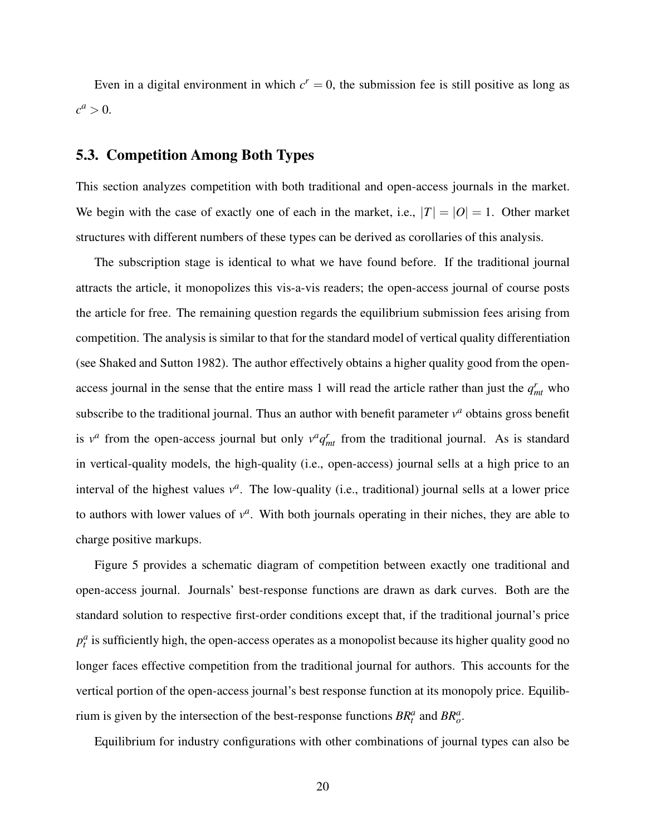Even in a digital environment in which  $c^r = 0$ , the submission fee is still positive as long as  $c^a > 0.$ 

### 5.3. Competition Among Both Types

This section analyzes competition with both traditional and open-access journals in the market. We begin with the case of exactly one of each in the market, i.e.,  $|T| = |O| = 1$ . Other market structures with different numbers of these types can be derived as corollaries of this analysis.

The subscription stage is identical to what we have found before. If the traditional journal attracts the article, it monopolizes this vis-a-vis readers; the open-access journal of course posts the article for free. The remaining question regards the equilibrium submission fees arising from competition. The analysis is similar to that for the standard model of vertical quality differentiation (see Shaked and Sutton 1982). The author effectively obtains a higher quality good from the openaccess journal in the sense that the entire mass 1 will read the article rather than just the  $q_{mt}^r$  who subscribe to the traditional journal. Thus an author with benefit parameter  $v^a$  obtains gross benefit is  $v^a$  from the open-access journal but only  $v^a q_{mt}^r$  from the traditional journal. As is standard in vertical-quality models, the high-quality (i.e., open-access) journal sells at a high price to an interval of the highest values  $v^a$ . The low-quality (i.e., traditional) journal sells at a lower price to authors with lower values of  $v^a$ . With both journals operating in their niches, they are able to charge positive markups.

Figure 5 provides a schematic diagram of competition between exactly one traditional and open-access journal. Journals' best-response functions are drawn as dark curves. Both are the standard solution to respective first-order conditions except that, if the traditional journal's price  $p_t^a$  is sufficiently high, the open-access operates as a monopolist because its higher quality good no longer faces effective competition from the traditional journal for authors. This accounts for the vertical portion of the open-access journal's best response function at its monopoly price. Equilibrium is given by the intersection of the best-response functions  $BR_t^a$  and  $BR_o^a$ .

Equilibrium for industry configurations with other combinations of journal types can also be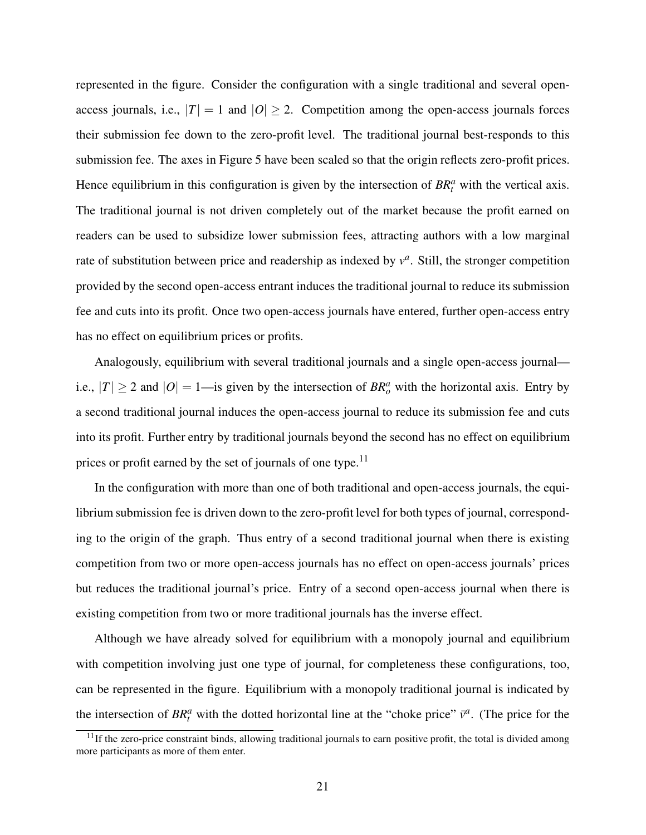represented in the figure. Consider the configuration with a single traditional and several openaccess journals, i.e.,  $|T| = 1$  and  $|O| \ge 2$ . Competition among the open-access journals forces their submission fee down to the zero-profit level. The traditional journal best-responds to this submission fee. The axes in Figure 5 have been scaled so that the origin reflects zero-profit prices. Hence equilibrium in this configuration is given by the intersection of  $BR<sup>a</sup><sub>t</sub>$  with the vertical axis. The traditional journal is not driven completely out of the market because the profit earned on readers can be used to subsidize lower submission fees, attracting authors with a low marginal rate of substitution between price and readership as indexed by  $v^a$ . Still, the stronger competition provided by the second open-access entrant induces the traditional journal to reduce its submission fee and cuts into its profit. Once two open-access journals have entered, further open-access entry has no effect on equilibrium prices or profits.

Analogously, equilibrium with several traditional journals and a single open-access journal i.e.,  $|T| \ge 2$  and  $|O| = 1$ —is given by the intersection of  $BR_o^a$  with the horizontal axis. Entry by a second traditional journal induces the open-access journal to reduce its submission fee and cuts into its profit. Further entry by traditional journals beyond the second has no effect on equilibrium prices or profit earned by the set of journals of one type.<sup>11</sup>

In the configuration with more than one of both traditional and open-access journals, the equilibrium submission fee is driven down to the zero-profit level for both types of journal, corresponding to the origin of the graph. Thus entry of a second traditional journal when there is existing competition from two or more open-access journals has no effect on open-access journals' prices but reduces the traditional journal's price. Entry of a second open-access journal when there is existing competition from two or more traditional journals has the inverse effect.

Although we have already solved for equilibrium with a monopoly journal and equilibrium with competition involving just one type of journal, for completeness these configurations, too, can be represented in the figure. Equilibrium with a monopoly traditional journal is indicated by the intersection of  $BR_t^a$  with the dotted horizontal line at the "choke price"  $\bar{v}^a$ . (The price for the

 $11$ If the zero-price constraint binds, allowing traditional journals to earn positive profit, the total is divided among more participants as more of them enter.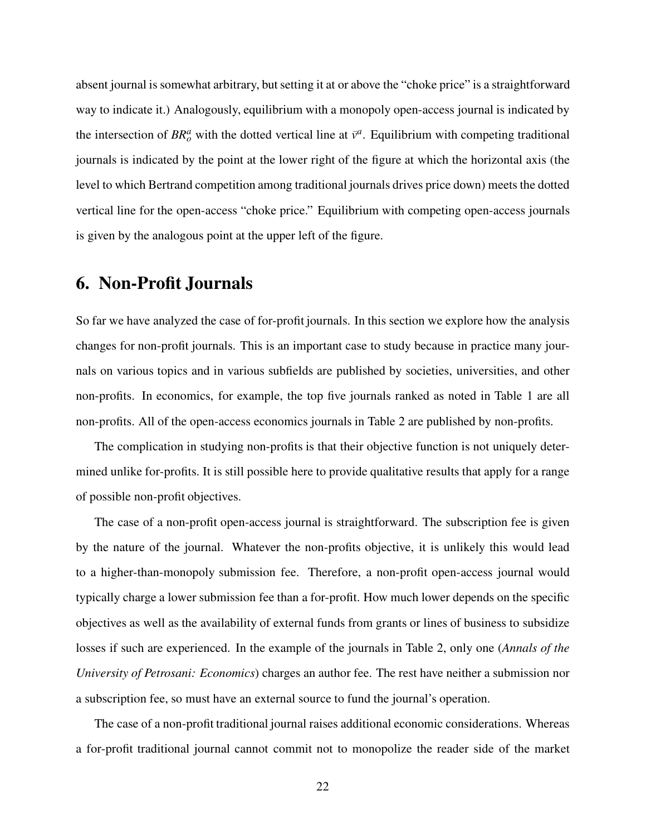absent journal is somewhat arbitrary, but setting it at or above the "choke price" is a straightforward way to indicate it.) Analogously, equilibrium with a monopoly open-access journal is indicated by the intersection of  $BR_o^a$  with the dotted vertical line at  $\bar{v}^a$ . Equilibrium with competing traditional journals is indicated by the point at the lower right of the figure at which the horizontal axis (the level to which Bertrand competition among traditional journals drives price down) meets the dotted vertical line for the open-access "choke price." Equilibrium with competing open-access journals is given by the analogous point at the upper left of the figure.

# 6. Non-Profit Journals

So far we have analyzed the case of for-profit journals. In this section we explore how the analysis changes for non-profit journals. This is an important case to study because in practice many journals on various topics and in various subfields are published by societies, universities, and other non-profits. In economics, for example, the top five journals ranked as noted in Table 1 are all non-profits. All of the open-access economics journals in Table 2 are published by non-profits.

The complication in studying non-profits is that their objective function is not uniquely determined unlike for-profits. It is still possible here to provide qualitative results that apply for a range of possible non-profit objectives.

The case of a non-profit open-access journal is straightforward. The subscription fee is given by the nature of the journal. Whatever the non-profits objective, it is unlikely this would lead to a higher-than-monopoly submission fee. Therefore, a non-profit open-access journal would typically charge a lower submission fee than a for-profit. How much lower depends on the specific objectives as well as the availability of external funds from grants or lines of business to subsidize losses if such are experienced. In the example of the journals in Table 2, only one (*Annals of the* University of Petrosani: Economics) charges an author fee. The rest have neither a submission nor a subscription fee, so must have an external source to fund the journal's operation.

The case of a non-profit traditional journal raises additional economic considerations. Whereas a for-profit traditional journal cannot commit not to monopolize the reader side of the market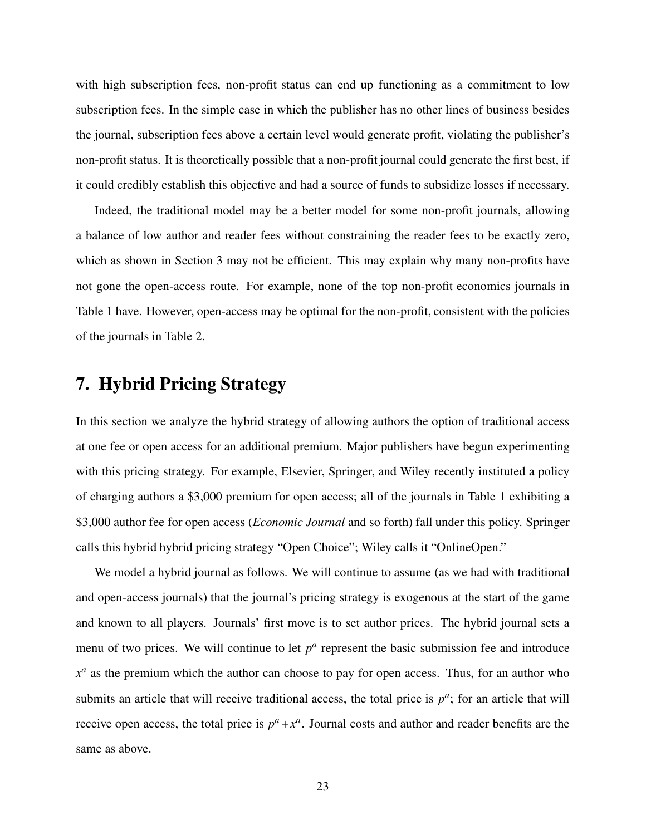with high subscription fees, non-profit status can end up functioning as a commitment to low subscription fees. In the simple case in which the publisher has no other lines of business besides the journal, subscription fees above a certain level would generate profit, violating the publisher's non-profit status. It is theoretically possible that a non-profit journal could generate the first best, if it could credibly establish this objective and had a source of funds to subsidize losses if necessary.

Indeed, the traditional model may be a better model for some non-profit journals, allowing a balance of low author and reader fees without constraining the reader fees to be exactly zero, which as shown in Section 3 may not be efficient. This may explain why many non-profits have not gone the open-access route. For example, none of the top non-profit economics journals in Table 1 have. However, open-access may be optimal for the non-profit, consistent with the policies of the journals in Table 2.

# 7. Hybrid Pricing Strategy

In this section we analyze the hybrid strategy of allowing authors the option of traditional access at one fee or open access for an additional premium. Major publishers have begun experimenting with this pricing strategy. For example, Elsevier, Springer, and Wiley recently instituted a policy of charging authors a \$3,000 premium for open access; all of the journals in Table 1 exhibiting a \$3,000 author fee for open access (*Economic Journal* and so forth) fall under this policy. Springer calls this hybrid hybrid pricing strategy "Open Choice"; Wiley calls it "OnlineOpen."

We model a hybrid journal as follows. We will continue to assume (as we had with traditional and open-access journals) that the journal's pricing strategy is exogenous at the start of the game and known to all players. Journals' first move is to set author prices. The hybrid journal sets a menu of two prices. We will continue to let  $p^a$  represent the basic submission fee and introduce  $x^a$  as the premium which the author can choose to pay for open access. Thus, for an author who submits an article that will receive traditional access, the total price is  $p^a$ ; for an article that will receive open access, the total price is  $p^a + x^a$ . Journal costs and author and reader benefits are the same as above.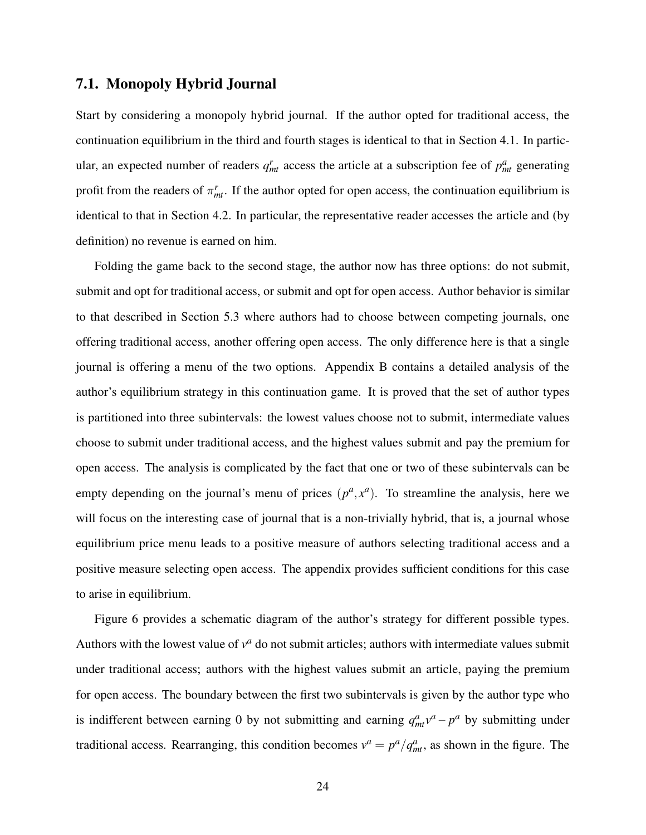### 7.1. Monopoly Hybrid Journal

Start by considering a monopoly hybrid journal. If the author opted for traditional access, the continuation equilibrium in the third and fourth stages is identical to that in Section 4.1. In particular, an expected number of readers  $q_{mt}^{r}$  access the article at a subscription fee of  $p_{mt}^{a}$  generating profit from the readers of  $\pi_{mt}^r$ . If the author opted for open access, the continuation equilibrium is identical to that in Section 4.2. In particular, the representative reader accesses the article and (by definition) no revenue is earned on him.

Folding the game back to the second stage, the author now has three options: do not submit, submit and opt for traditional access, or submit and opt for open access. Author behavior is similar to that described in Section 5.3 where authors had to choose between competing journals, one offering traditional access, another offering open access. The only difference here is that a single journal is offering a menu of the two options. Appendix B contains a detailed analysis of the author's equilibrium strategy in this continuation game. It is proved that the set of author types is partitioned into three subintervals: the lowest values choose not to submit, intermediate values choose to submit under traditional access, and the highest values submit and pay the premium for open access. The analysis is complicated by the fact that one or two of these subintervals can be empty depending on the journal's menu of prices  $(p^a, x^a)$ . To streamline the analysis, here we will focus on the interesting case of journal that is a non-trivially hybrid, that is, a journal whose equilibrium price menu leads to a positive measure of authors selecting traditional access and a positive measure selecting open access. The appendix provides sufficient conditions for this case to arise in equilibrium.

Figure 6 provides a schematic diagram of the author's strategy for different possible types. Authors with the lowest value of  $v^a$  do not submit articles; authors with intermediate values submit under traditional access; authors with the highest values submit an article, paying the premium for open access. The boundary between the first two subintervals is given by the author type who is indifferent between earning 0 by not submitting and earning  $q_{mt}^a v^a - p^a$  by submitting under traditional access. Rearranging, this condition becomes  $v^a = p^a / q^a_{mt}$ , as shown in the figure. The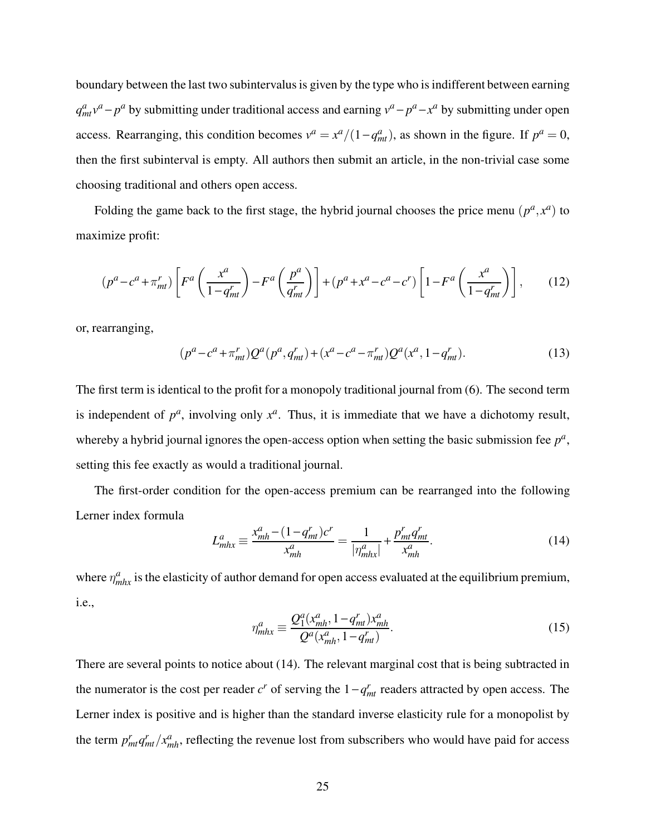boundary between the last two subintervalus is given by the type who is indifferent between earning  $q_{mt}^a v^a - p^a$  by submitting under traditional access and earning  $v^a - p^a - x^a$  by submitting under open access. Rearranging, this condition becomes  $v^a = x^a/(1 - q_{mt}^a)$ , as shown in the figure. If  $p^a = 0$ , then the first subinterval is empty. All authors then submit an article, in the non-trivial case some choosing traditional and others open access.

Folding the game back to the first stage, the hybrid journal chooses the price menu  $(p^a, x^a)$  to maximize profit:

$$
(p^a - c^a + \pi_{mt}^r) \left[ F^a \left( \frac{x^a}{1 - q_{mt}^r} \right) - F^a \left( \frac{p^a}{q_{mt}^r} \right) \right] + (p^a + x^a - c^a - c^r) \left[ 1 - F^a \left( \frac{x^a}{1 - q_{mt}^r} \right) \right],\tag{12}
$$

or, rearranging,

$$
(p^{a} - c^{a} + \pi_{mt}^{r}) Q^{a} (p^{a}, q_{mt}^{r}) + (x^{a} - c^{a} - \pi_{mt}^{r}) Q^{a} (x^{a}, 1 - q_{mt}^{r}). \tag{13}
$$

The first term is identical to the profit for a monopoly traditional journal from (6). The second term is independent of  $p^a$ , involving only  $x^a$ . Thus, it is immediate that we have a dichotomy result, whereby a hybrid journal ignores the open-access option when setting the basic submission fee  $p^a$ , setting this fee exactly as would a traditional journal.

The first-order condition for the open-access premium can be rearranged into the following Lerner index formula

$$
L_{m h x}^{a} \equiv \frac{x_{m h}^{a} - (1 - q_{m t}^{r}) c^{r}}{x_{m h}^{a}} = \frac{1}{|\eta_{m h x}^{a}|} + \frac{p_{m t}^{r} q_{m t}^{r}}{x_{m h}^{a}}.
$$
 (14)

where  $\eta_{mhx}^a$  is the elasticity of author demand for open access evaluated at the equilibrium premium, i.e.,

$$
\eta_{mhx}^a \equiv \frac{Q_1^a(x_{mh}^a, 1 - q_{mt}^r)x_{mh}^a}{Q^a(x_{mh}^a, 1 - q_{mt}^r)}.
$$
\n(15)

There are several points to notice about (14). The relevant marginal cost that is being subtracted in the numerator is the cost per reader  $c^r$  of serving the  $1 - q_{mt}^r$  readers attracted by open access. The Lerner index is positive and is higher than the standard inverse elasticity rule for a monopolist by the term  $p_{mt}^r q_{mt}^r / x_{mh}^a$ , reflecting the revenue lost from subscribers who would have paid for access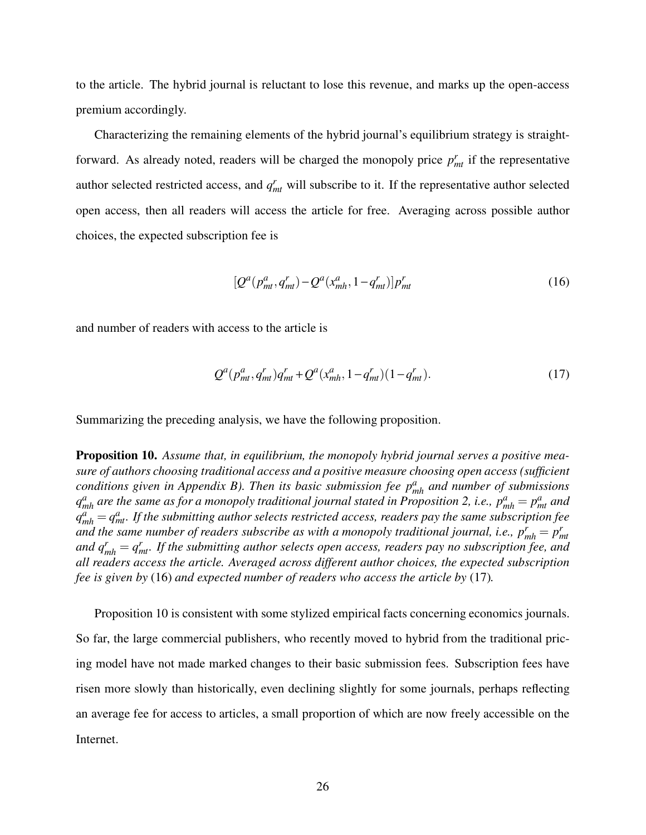to the article. The hybrid journal is reluctant to lose this revenue, and marks up the open-access premium accordingly.

Characterizing the remaining elements of the hybrid journal's equilibrium strategy is straightforward. As already noted, readers will be charged the monopoly price  $p<sub>mt</sub><sup>r</sup>$  if the representative author selected restricted access, and  $q_{mt}^r$  will subscribe to it. If the representative author selected open access, then all readers will access the article for free. Averaging across possible author choices, the expected subscription fee is

$$
[Q^{a}(p_{mt}^{a}, q_{mt}^{r}) - Q^{a}(x_{mh}^{a}, 1 - q_{mt}^{r})]p_{mt}^{r}
$$
 (16)

and number of readers with access to the article is

$$
Q^{a}(p_{mt}^{a}, q_{mt}^{r})q_{mt}^{r} + Q^{a}(x_{mh}^{a}, 1 - q_{mt}^{r})(1 - q_{mt}^{r}).
$$
\n(17)

Summarizing the preceding analysis, we have the following proposition.

**Proposition 10.** Assume that, in equilibrium, the monopoly hybrid journal serves a positive measure of authors choosing traditional access and a positive measure choosing open access (sufficient conditions given in Appendix B). Then its basic submission fee  $p_{mh}^a$  and number of submissions  $q_{mh}^a$  are the same as for a monopoly traditional journal stated in Proposition 2, i.e.,  $p_{mh}^a = p_{mt}^a$  and  $q_{mh}^a = q_{mt}^a$ . If the submitting author selects restricted access, readers pay the same subscription fee and the same number of readers subscribe as with a monopoly traditional journal, i.e.,  $p_{mh}^r = p_{mt}^r$ and  $q_{mh}^r = q_{mt}^r$ . If the submitting author selects open access, readers pay no subscription fee, and all readers access the article. Averaged across different author choices, the expected subscription fee is given by (16) and expected number of readers who access the article by (17).

Proposition 10 is consistent with some stylized empirical facts concerning economics journals. So far, the large commercial publishers, who recently moved to hybrid from the traditional pricing model have not made marked changes to their basic submission fees. Subscription fees have risen more slowly than historically, even declining slightly for some journals, perhaps reflecting an average fee for access to articles, a small proportion of which are now freely accessible on the Internet.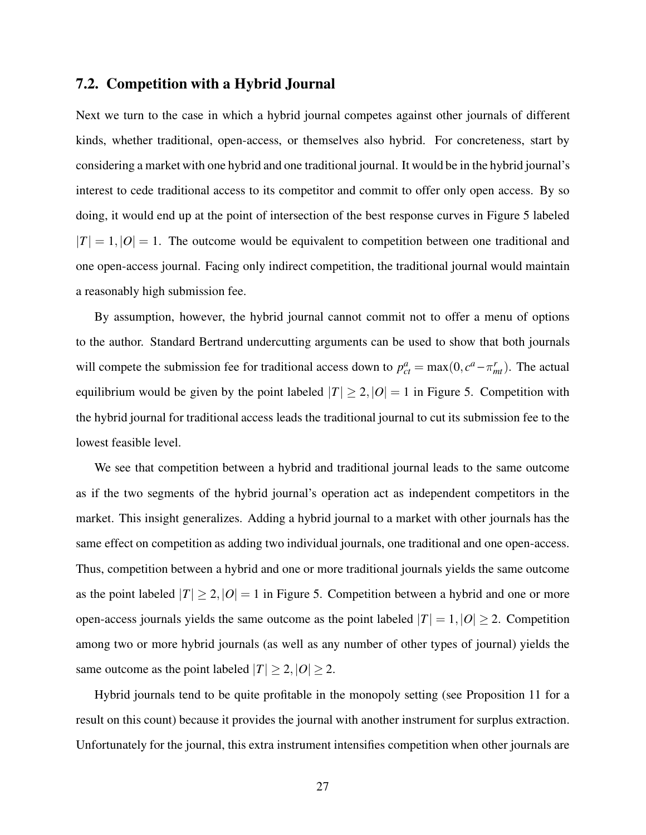### 7.2. Competition with a Hybrid Journal

Next we turn to the case in which a hybrid journal competes against other journals of different kinds, whether traditional, open-access, or themselves also hybrid. For concreteness, start by considering a market with one hybrid and one traditional journal. It would be in the hybrid journal's interest to cede traditional access to its competitor and commit to offer only open access. By so doing, it would end up at the point of intersection of the best response curves in Figure 5 labeled  $|T| = 1, |O| = 1$ . The outcome would be equivalent to competition between one traditional and one open-access journal. Facing only indirect competition, the traditional journal would maintain a reasonably high submission fee.

By assumption, however, the hybrid journal cannot commit not to offer a menu of options to the author. Standard Bertrand undercutting arguments can be used to show that both journals will compete the submission fee for traditional access down to  $p_{ct}^a = \max(0, c^a - \pi_{mt}^r)$ . The actual equilibrium would be given by the point labeled  $|T| \geq 2$ ,  $|O| = 1$  in Figure 5. Competition with the hybrid journal for traditional access leads the traditional journal to cut its submission fee to the lowest feasible level.

We see that competition between a hybrid and traditional journal leads to the same outcome as if the two segments of the hybrid journal's operation act as independent competitors in the market. This insight generalizes. Adding a hybrid journal to a market with other journals has the same effect on competition as adding two individual journals, one traditional and one open-access. Thus, competition between a hybrid and one or more traditional journals yields the same outcome as the point labeled  $|T| \geq 2$ ,  $|O| = 1$  in Figure 5. Competition between a hybrid and one or more open-access journals yields the same outcome as the point labeled  $|T| = 1, |O| \ge 2$ . Competition among two or more hybrid journals (as well as any number of other types of journal) yields the same outcome as the point labeled  $|T| \geq 2$ ,  $|O| \geq 2$ .

Hybrid journals tend to be quite profitable in the monopoly setting (see Proposition 11 for a result on this count) because it provides the journal with another instrument for surplus extraction. Unfortunately for the journal, this extra instrument intensifies competition when other journals are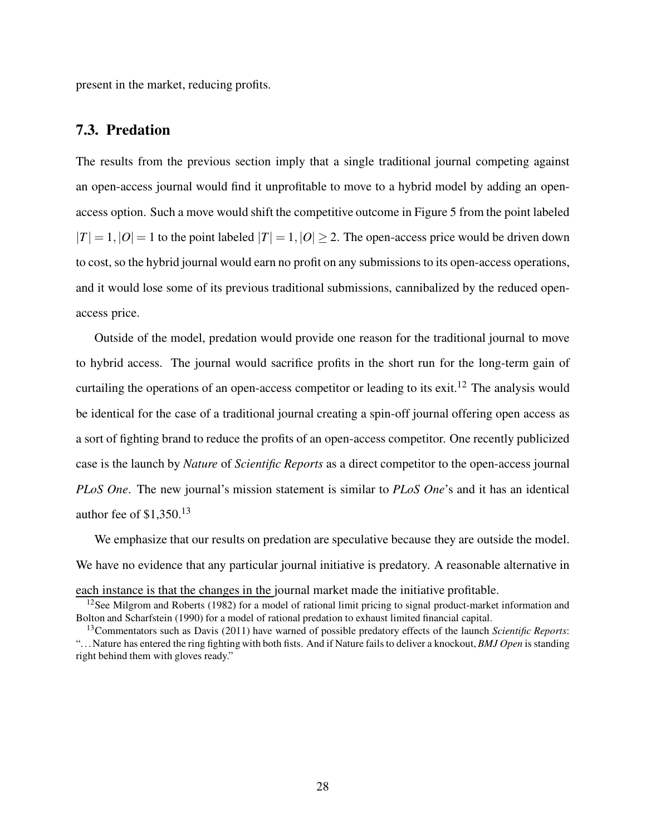present in the market, reducing profits.

### 7.3. Predation

The results from the previous section imply that a single traditional journal competing against an open-access journal would find it unprofitable to move to a hybrid model by adding an openaccess option. Such a move would shift the competitive outcome in Figure 5 from the point labeled  $|T| = 1, |O| = 1$  to the point labeled  $|T| = 1, |O| > 2$ . The open-access price would be driven down to cost, so the hybrid journal would earn no profit on any submissions to its open-access operations, and it would lose some of its previous traditional submissions, cannibalized by the reduced openaccess price.

Outside of the model, predation would provide one reason for the traditional journal to move to hybrid access. The journal would sacrifice profits in the short run for the long-term gain of curtailing the operations of an open-access competitor or leading to its exit.<sup>12</sup> The analysis would be identical for the case of a traditional journal creating a spin-off journal offering open access as a sort of fighting brand to reduce the profits of an open-access competitor. One recently publicized case is the launch by Nature of Scientific Reports as a direct competitor to the open-access journal PLoS One. The new journal's mission statement is similar to PLoS One's and it has an identical author fee of  $$1,350$ <sup>13</sup>

We emphasize that our results on predation are speculative because they are outside the model. We have no evidence that any particular journal initiative is predatory. A reasonable alternative in each instance is that the changes in the journal market made the initiative profitable.

 $12$ See Milgrom and Roberts (1982) for a model of rational limit pricing to signal product-market information and Bolton and Scharfstein (1990) for a model of rational predation to exhaust limited financial capital.

<sup>&</sup>lt;sup>13</sup>Commentators such as Davis (2011) have warned of possible predatory effects of the launch Scientific Reports: "... Nature has entered the ring fighting with both fists. And if Nature fails to deliver a knockout, BMJ Open is standing right behind them with gloves ready."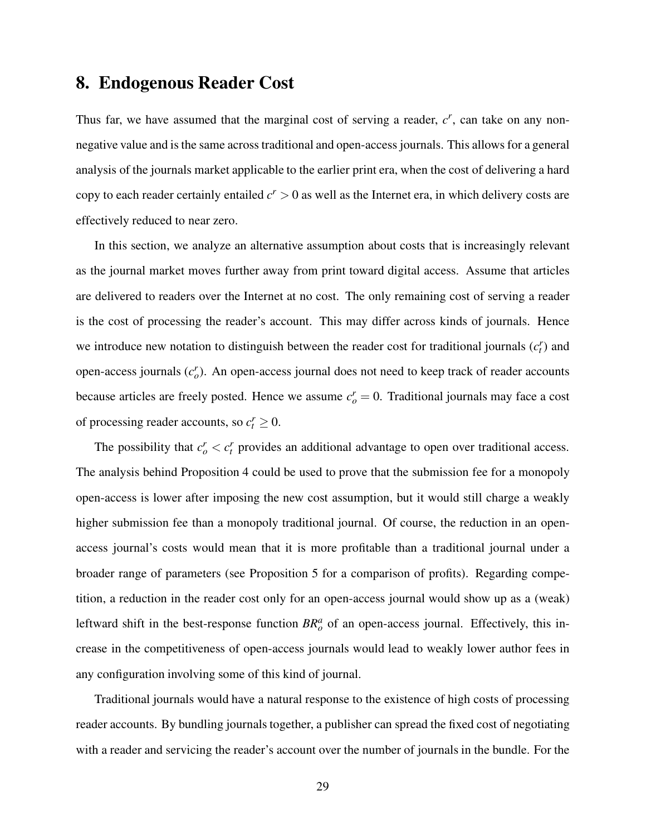# 8. Endogenous Reader Cost

Thus far, we have assumed that the marginal cost of serving a reader,  $c^r$ , can take on any nonnegative value and is the same across traditional and open-access journals. This allows for a general analysis of the journals market applicable to the earlier print era, when the cost of delivering a hard copy to each reader certainly entailed  $c^r > 0$  as well as the Internet era, in which delivery costs are effectively reduced to near zero.

In this section, we analyze an alternative assumption about costs that is increasingly relevant as the journal market moves further away from print toward digital access. Assume that articles are delivered to readers over the Internet at no cost. The only remaining cost of serving a reader is the cost of processing the reader's account. This may differ across kinds of journals. Hence we introduce new notation to distinguish between the reader cost for traditional journals  $(c<sub>t</sub>)$  and open-access journals  $(c_o^r)$ . An open-access journal does not need to keep track of reader accounts because articles are freely posted. Hence we assume  $c_o^r = 0$ . Traditional journals may face a cost of processing reader accounts, so  $c_t^r \geq 0$ .

The possibility that  $c_o^r < c_t^r$  provides an additional advantage to open over traditional access. The analysis behind Proposition 4 could be used to prove that the submission fee for a monopoly open-access is lower after imposing the new cost assumption, but it would still charge a weakly higher submission fee than a monopoly traditional journal. Of course, the reduction in an openaccess journal's costs would mean that it is more profitable than a traditional journal under a broader range of parameters (see Proposition 5 for a comparison of profits). Regarding competition, a reduction in the reader cost only for an open-access journal would show up as a (weak) leftward shift in the best-response function  $BR_o^a$  of an open-access journal. Effectively, this increase in the competitiveness of open-access journals would lead to weakly lower author fees in any configuration involving some of this kind of journal.

Traditional journals would have a natural response to the existence of high costs of processing reader accounts. By bundling journals together, a publisher can spread the fixed cost of negotiating with a reader and servicing the reader's account over the number of journals in the bundle. For the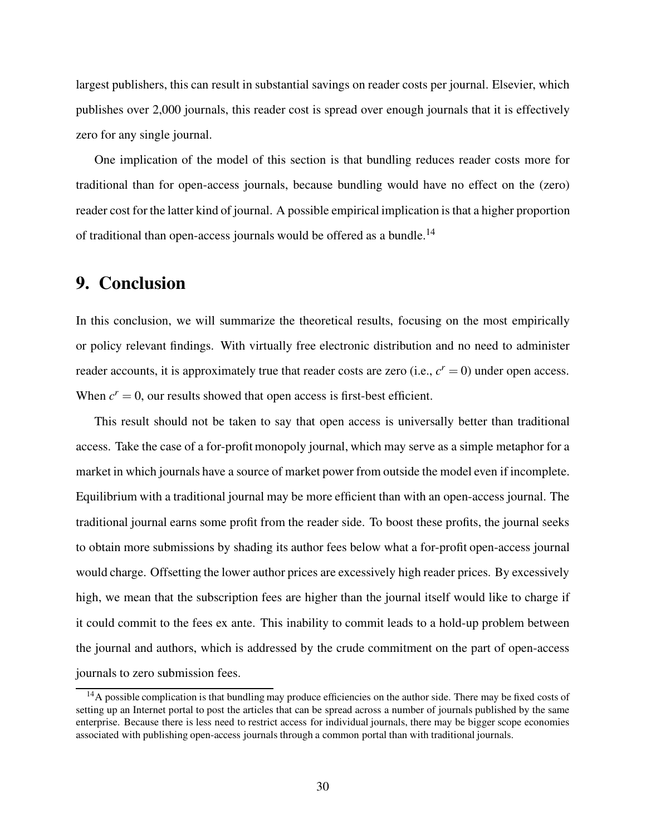largest publishers, this can result in substantial savings on reader costs per journal. Elsevier, which publishes over 2,000 journals, this reader cost is spread over enough journals that it is effectively zero for any single journal.

One implication of the model of this section is that bundling reduces reader costs more for traditional than for open-access journals, because bundling would have no effect on the (zero) reader cost for the latter kind of journal. A possible empirical implication is that a higher proportion of traditional than open-access journals would be offered as a bundle.<sup>14</sup>

## 9. Conclusion

In this conclusion, we will summarize the theoretical results, focusing on the most empirically or policy relevant findings. With virtually free electronic distribution and no need to administer reader accounts, it is approximately true that reader costs are zero (i.e.,  $c^r = 0$ ) under open access. When  $c^r = 0$ , our results showed that open access is first-best efficient.

This result should not be taken to say that open access is universally better than traditional access. Take the case of a for-profit monopoly journal, which may serve as a simple metaphor for a market in which journals have a source of market power from outside the model even if incomplete. Equilibrium with a traditional journal may be more efficient than with an open-access journal. The traditional journal earns some profit from the reader side. To boost these profits, the journal seeks to obtain more submissions by shading its author fees below what a for-profit open-access journal would charge. Offsetting the lower author prices are excessively high reader prices. By excessively high, we mean that the subscription fees are higher than the journal itself would like to charge if it could commit to the fees ex ante. This inability to commit leads to a hold-up problem between the journal and authors, which is addressed by the crude commitment on the part of open-access journals to zero submission fees.

<sup>&</sup>lt;sup>14</sup>A possible complication is that bundling may produce efficiencies on the author side. There may be fixed costs of setting up an Internet portal to post the articles that can be spread across a number of journals published by the same enterprise. Because there is less need to restrict access for individual journals, there may be bigger scope economies associated with publishing open-access journals through a common portal than with traditional journals.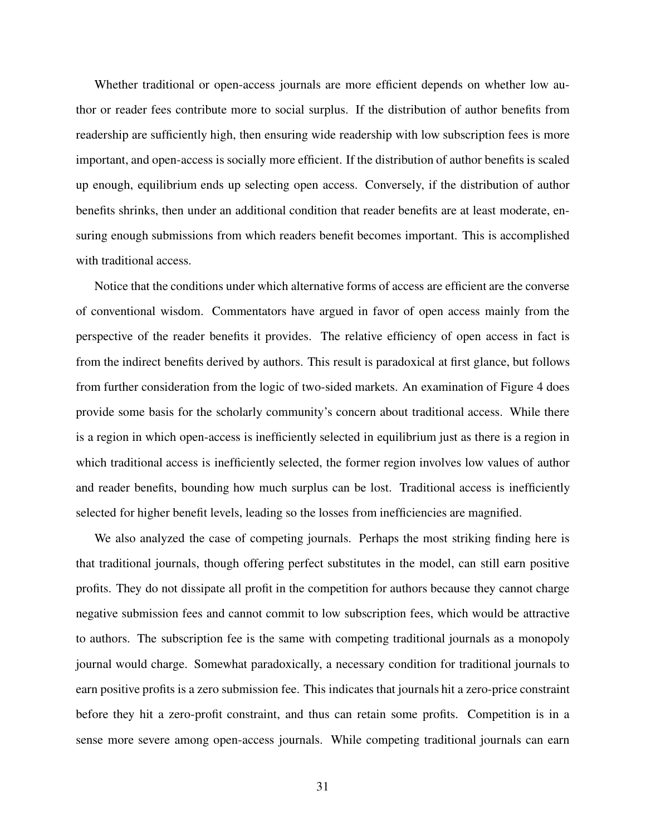Whether traditional or open-access journals are more efficient depends on whether low author or reader fees contribute more to social surplus. If the distribution of author benefits from readership are sufficiently high, then ensuring wide readership with low subscription fees is more important, and open-access is socially more efficient. If the distribution of author benefits is scaled up enough, equilibrium ends up selecting open access. Conversely, if the distribution of author benefits shrinks, then under an additional condition that reader benefits are at least moderate, ensuring enough submissions from which readers benefit becomes important. This is accomplished with traditional access.

Notice that the conditions under which alternative forms of access are efficient are the converse of conventional wisdom. Commentators have argued in favor of open access mainly from the perspective of the reader benefits it provides. The relative efficiency of open access in fact is from the indirect benefits derived by authors. This result is paradoxical at first glance, but follows from further consideration from the logic of two-sided markets. An examination of Figure 4 does provide some basis for the scholarly community's concern about traditional access. While there is a region in which open-access is inefficiently selected in equilibrium just as there is a region in which traditional access is inefficiently selected, the former region involves low values of author and reader benefits, bounding how much surplus can be lost. Traditional access is inefficiently selected for higher benefit levels, leading so the losses from inefficiencies are magnified.

We also analyzed the case of competing journals. Perhaps the most striking finding here is that traditional journals, though offering perfect substitutes in the model, can still earn positive profits. They do not dissipate all profit in the competition for authors because they cannot charge negative submission fees and cannot commit to low subscription fees, which would be attractive to authors. The subscription fee is the same with competing traditional journals as a monopoly journal would charge. Somewhat paradoxically, a necessary condition for traditional journals to earn positive profits is a zero submission fee. This indicates that journals hit a zero-price constraint before they hit a zero-profit constraint, and thus can retain some profits. Competition is in a sense more severe among open-access journals. While competing traditional journals can earn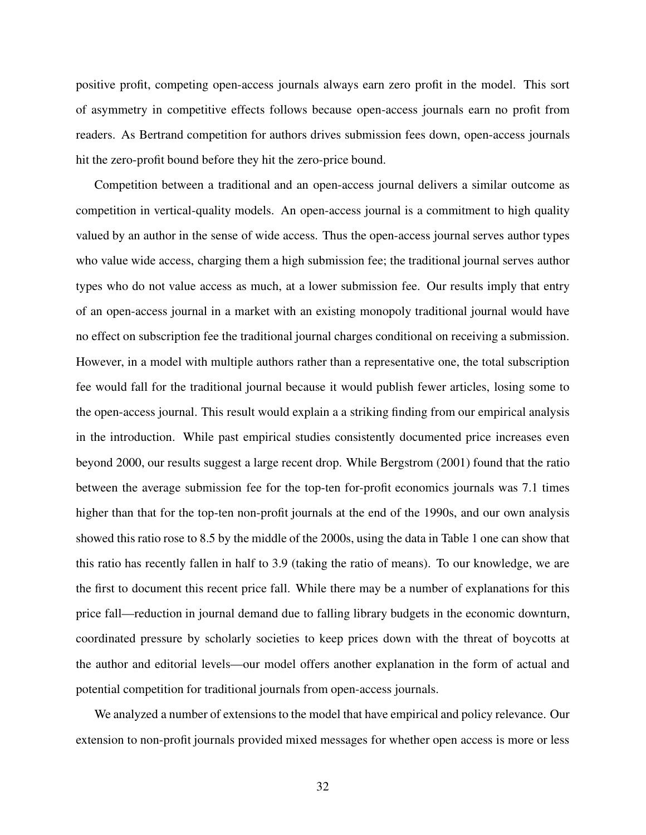positive profit, competing open-access journals always earn zero profit in the model. This sort of asymmetry in competitive effects follows because open-access journals earn no profit from readers. As Bertrand competition for authors drives submission fees down, open-access journals hit the zero-profit bound before they hit the zero-price bound.

Competition between a traditional and an open-access journal delivers a similar outcome as competition in vertical-quality models. An open-access journal is a commitment to high quality valued by an author in the sense of wide access. Thus the open-access journal serves author types who value wide access, charging them a high submission fee; the traditional journal serves author types who do not value access as much, at a lower submission fee. Our results imply that entry of an open-access journal in a market with an existing monopoly traditional journal would have no effect on subscription fee the traditional journal charges conditional on receiving a submission. However, in a model with multiple authors rather than a representative one, the total subscription fee would fall for the traditional journal because it would publish fewer articles, losing some to the open-access journal. This result would explain a a striking finding from our empirical analysis in the introduction. While past empirical studies consistently documented price increases even beyond 2000, our results suggest a large recent drop. While Bergstrom (2001) found that the ratio between the average submission fee for the top-ten for-profit economics journals was 7.1 times higher than that for the top-ten non-profit journals at the end of the 1990s, and our own analysis showed this ratio rose to 8.5 by the middle of the 2000s, using the data in Table 1 one can show that this ratio has recently fallen in half to 3.9 (taking the ratio of means). To our knowledge, we are the first to document this recent price fall. While there may be a number of explanations for this price fall—reduction in journal demand due to falling library budgets in the economic downturn, coordinated pressure by scholarly societies to keep prices down with the threat of boycotts at the author and editorial levels—our model offers another explanation in the form of actual and potential competition for traditional journals from open-access journals.

We analyzed a number of extensions to the model that have empirical and policy relevance. Our extension to non-profit journals provided mixed messages for whether open access is more or less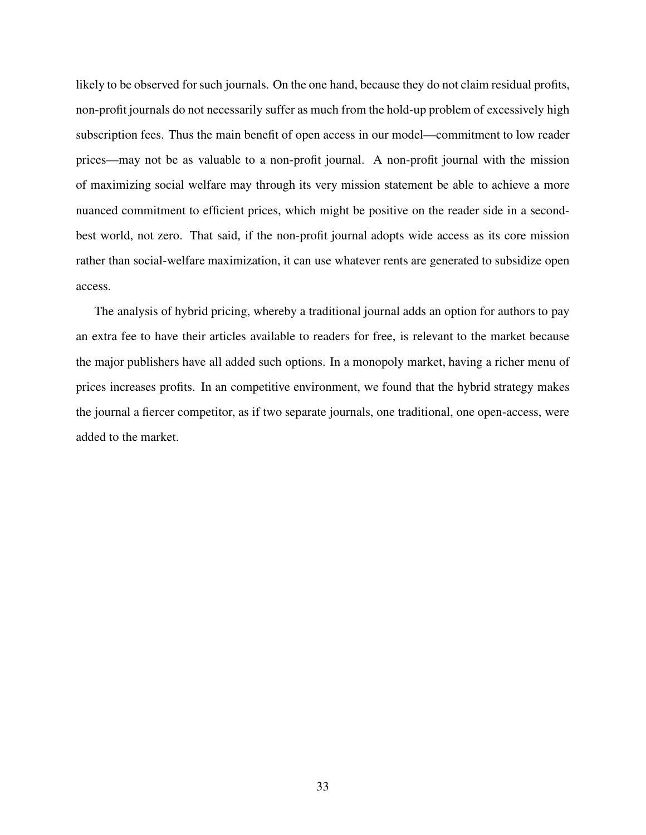likely to be observed for such journals. On the one hand, because they do not claim residual profits, non-profit journals do not necessarily suffer as much from the hold-up problem of excessively high subscription fees. Thus the main benefit of open access in our model—commitment to low reader prices—may not be as valuable to a non-profit journal. A non-profit journal with the mission of maximizing social welfare may through its very mission statement be able to achieve a more nuanced commitment to efficient prices, which might be positive on the reader side in a secondbest world, not zero. That said, if the non-profit journal adopts wide access as its core mission rather than social-welfare maximization, it can use whatever rents are generated to subsidize open access.

The analysis of hybrid pricing, whereby a traditional journal adds an option for authors to pay an extra fee to have their articles available to readers for free, is relevant to the market because the major publishers have all added such options. In a monopoly market, having a richer menu of prices increases profits. In an competitive environment, we found that the hybrid strategy makes the journal a fiercer competitor, as if two separate journals, one traditional, one open-access, were added to the market.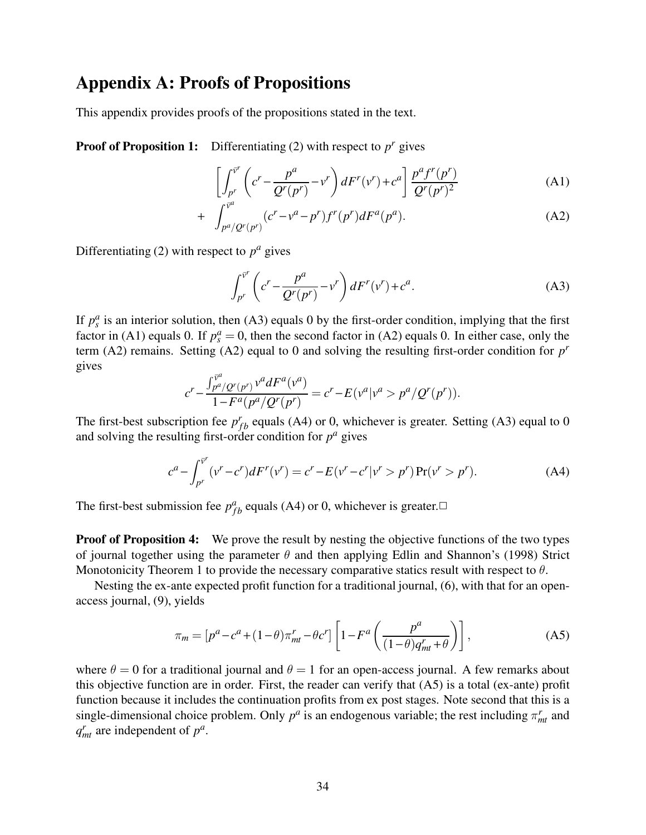# Appendix A: Proofs of Propositions

This appendix provides proofs of the propositions stated in the text.

**Proof of Proposition 1:** Differentiating (2) with respect to  $p^r$  gives

$$
\left[\int_{p^r}^{\bar{v}^r} \left(c^r - \frac{p^a}{Q^r(p^r)} - v^r\right) dF^r(v^r) + c^a\right] \frac{p^a f^r(p^r)}{Q^r(p^r)^2}
$$
(A1)

+ 
$$
\int_{p^a/Q^r(p^r)}^{\bar{v}^a} (c^r - v^a - p^r) f^r(p^r) dF^a(p^a)
$$
. (A2)

Differentiating (2) with respect to  $p^a$  gives

$$
\int_{p^r}^{\bar{v}^r} \left( c^r - \frac{p^a}{Q^r(p^r)} - v^r \right) dF^r(v^r) + c^a. \tag{A3}
$$

If  $p_s^a$  is an interior solution, then (A3) equals 0 by the first-order condition, implying that the first factor in (A1) equals 0. If  $p_s^a = 0$ , then the second factor in (A2) equals 0. In either case, only the term (A2) remains. Setting (A2) equal to 0 and solving the resulting first-order condition for  $p<sup>r</sup>$ gives

$$
c^r - \frac{\int_{p^a/\mathcal{Q}^r(p^r)}^{\bar{v}^a} v^a dF^a(v^a)}{1 - F^a(p^a/\mathcal{Q}^r(p^r))} = c^r - E(v^a|v^a > p^a/\mathcal{Q}^r(p^r)).
$$

The first-best subscription fee  $p_{fb}^r$  equals (A4) or 0, whichever is greater. Setting (A3) equal to 0 and solving the resulting first-order condition for  $p^a$  gives

$$
c^{a} - \int_{p^{r}}^{\bar{v}^{r}} (v^{r} - c^{r}) dF^{r}(v^{r}) = c^{r} - E(v^{r} - c^{r}|v^{r} > p^{r}) \Pr(v^{r} > p^{r}).
$$
 (A4)

The first-best submission fee  $p_{fb}^a$  equals (A4) or 0, whichever is greater. $\Box$ 

**Proof of Proposition 4:** We prove the result by nesting the objective functions of the two types of journal together using the parameter  $\theta$  and then applying Edlin and Shannon's (1998) Strict Monotonicity Theorem 1 to provide the necessary comparative statics result with respect to  $\theta$ .

Nesting the ex-ante expected profit function for a traditional journal, (6), with that for an openaccess journal, (9), yields

$$
\pi_m = \left[ p^a - c^a + (1 - \theta) \pi_{mt}^r - \theta c^r \right] \left[ 1 - F^a \left( \frac{p^a}{(1 - \theta) q_{mt}^r + \theta} \right) \right],\tag{A5}
$$

where  $\theta = 0$  for a traditional journal and  $\theta = 1$  for an open-access journal. A few remarks about this objective function are in order. First, the reader can verify that (A5) is a total (ex-ante) profit function because it includes the continuation profits from ex post stages. Note second that this is a single-dimensional choice problem. Only  $p^a$  is an endogenous variable; the rest including  $\pi^r_{mt}$  and  $q_{mt}^r$  are independent of  $p^a$ .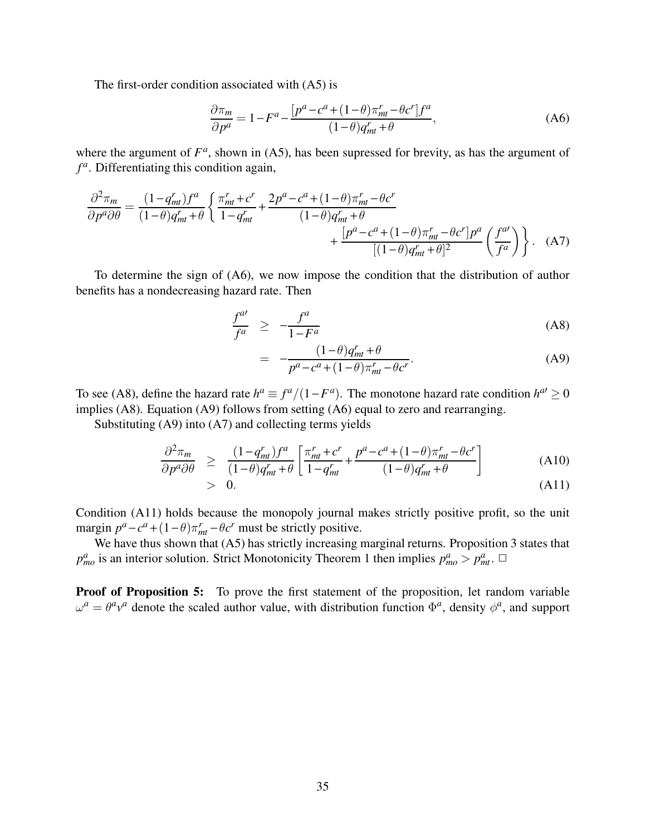The first-order condition associated with (A5) is

$$
\frac{\partial \pi_m}{\partial p^a} = 1 - F^a - \frac{[p^a - c^a + (1 - \theta)\pi_{mt}^r - \theta c^r]f^a}{(1 - \theta)q_{mt}^r + \theta},
$$
\n(A6)

where the argument of  $F^a$ , shown in (A5), has been supressed for brevity, as has the argument of  $f<sup>a</sup>$ . Differentiating this condition again,

$$
\frac{\partial^2 \pi_m}{\partial p^a \partial \theta} = \frac{(1 - q_m^r) f^a}{(1 - \theta) q_m^r + \theta} \left\{ \frac{\pi_m^r + c^r}{1 - q_m^r} + \frac{2p^a - c^a + (1 - \theta) \pi_m^r - \theta c^r}{(1 - \theta) q_m^r + \theta} + \frac{[p^a - c^a + (1 - \theta) \pi_m^r - \theta c^r] p^a}{[(1 - \theta) q_m^r + \theta]^2} \left( \frac{f^{a'}}{f^a} \right) \right\}.
$$
 (A7)

To determine the sign of (A6), we now impose the condition that the distribution of author benefits has a nondecreasing hazard rate. Then

$$
\frac{f^{al}}{f^a} \ge -\frac{f^a}{1 - F^a} \tag{A8}
$$

$$
= -\frac{(1-\theta)q_{mt}^r + \theta}{p^a - c^a + (1-\theta)\pi_{mt}^r - \theta c^r}.
$$
 (A9)

To see (A8), define the hazard rate  $h^a \equiv f^a/(1 - F^a)$ . The monotone hazard rate condition  $h^{a'} \ge 0$ implies (A8). Equation (A9) follows from setting (A6) equal to zero and rearranging.

Substituting (A9) into (A7) and collecting terms yields

$$
\frac{\partial^2 \pi_m}{\partial p^a \partial \theta} \geq \frac{(1 - q_m^r) f^a}{(1 - \theta) q_m^r + \theta} \left[ \frac{\pi_m^r + c^r}{1 - q_m^r} + \frac{p^a - c^a + (1 - \theta) \pi_m^r - \theta c^r}{(1 - \theta) q_m^r + \theta} \right]
$$
(A10)

$$
> 0. \tag{A11}
$$

Condition (A11) holds because the monopoly journal makes strictly positive profit, so the unit margin  $p^a - c^a + (1 - \theta)\pi_{mt}^r - \theta c^r$  must be strictly positive.

We have thus shown that (A5) has strictly increasing marginal returns. Proposition 3 states that  $p_{mo}^a$  is an interior solution. Strict Monotonicity Theorem 1 then implies  $p_{mo}^a > p_{mt}^a$ .

**Proof of Proposition 5:** To prove the first statement of the proposition, let random variable  $\omega^a = \theta^a v^a$  denote the scaled author value, with distribution function  $\Phi^a$ , density  $\phi^a$ , and support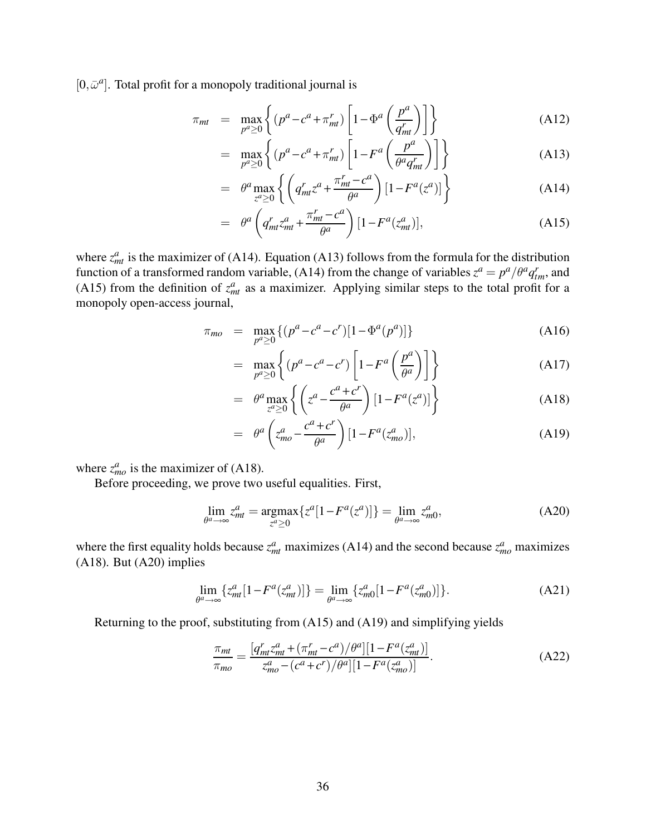$[0, \bar{\omega}^a]$ . Total profit for a monopoly traditional journal is

$$
\pi_{mt} = \max_{p^a \ge 0} \left\{ (p^a - c^a + \pi_{mt}^r) \left[ 1 - \Phi^a \left( \frac{p^a}{q_{mt}^r} \right) \right] \right\} \tag{A12}
$$

$$
= \max_{p^a \ge 0} \left\{ (p^a - c^a + \pi_{mt}^r) \left[ 1 - F^a \left( \frac{p^a}{\theta^a q_{mt}^r} \right) \right] \right\} \tag{A13}
$$

$$
= \theta^a \max_{z^a \ge 0} \left\{ \left( q^r_{mt} z^a + \frac{\pi^r_{mt} - c^a}{\theta^a} \right) \left[ 1 - F^a(z^a) \right] \right\} \tag{A14}
$$

$$
= \theta^a \left( q_{mt}^r z_{mt}^a + \frac{\pi_{mt}^r - c^a}{\theta^a} \right) [1 - F^a(z_{mt}^a)], \tag{A15}
$$

where  $z_{mt}^a$  is the maximizer of (A14). Equation (A13) follows from the formula for the distribution function of a transformed random variable, (A14) from the change of variables  $z^a = p^a/\theta^a q_{tm}^r$ , and (A15) from the definition of  $z_{mt}^a$  as a maximizer. Applying similar steps to the total profit for a monopoly open-access journal,

$$
\pi_{mo} = \max_{p^a \ge 0} \{ (p^a - c^a - c^r) [1 - \Phi^a(p^a)] \}
$$
\n(A16)

$$
= \max_{p^a \ge 0} \left\{ (p^a - c^a - c^r) \left[ 1 - F^a \left( \frac{p^a}{\theta^a} \right) \right] \right\} \tag{A17}
$$

$$
= \theta^a \max_{z^a \ge 0} \left\{ \left( z^a - \frac{c^a + c^r}{\theta^a} \right) \left[ 1 - F^a(z^a) \right] \right\} \tag{A18}
$$

$$
= \theta^a \left( z_{mo}^a - \frac{c^a + c^r}{\theta^a} \right) [1 - F^a(z_{mo}^a)], \tag{A19}
$$

where  $z_{mo}^a$  is the maximizer of (A18).

Before proceeding, we prove two useful equalities. First,

$$
\lim_{\theta^a \to \infty} z_{mt}^a = \underset{z^a \ge 0}{\operatorname{argmax}} \{ z^a [1 - F^a(z^a)] \} = \lim_{\theta^a \to \infty} z_{m0}^a,
$$
\n(A20)

where the first equality holds because  $z_{mt}^a$  maximizes (A14) and the second because  $z_{mo}^a$  maximizes (A18). But (A20) implies

$$
\lim_{\theta^a \to \infty} \{ z^a_{mt} [1 - F^a(z^a_{mt})] \} = \lim_{\theta^a \to \infty} \{ z^a_{m0} [1 - F^a(z^a_{m0})] \}. \tag{A21}
$$

Returning to the proof, substituting from (A15) and (A19) and simplifying yields

$$
\frac{\pi_{mt}}{\pi_{mo}} = \frac{[q_{mt}^r z_{mt}^a + (\pi_{mt}^r - c^a)/\theta^a][1 - F^a(z_{mt}^a)]}{z_{mo}^a - (c^a + c^r)/\theta^a][1 - F^a(z_{mo}^a)]}.
$$
\n(A22)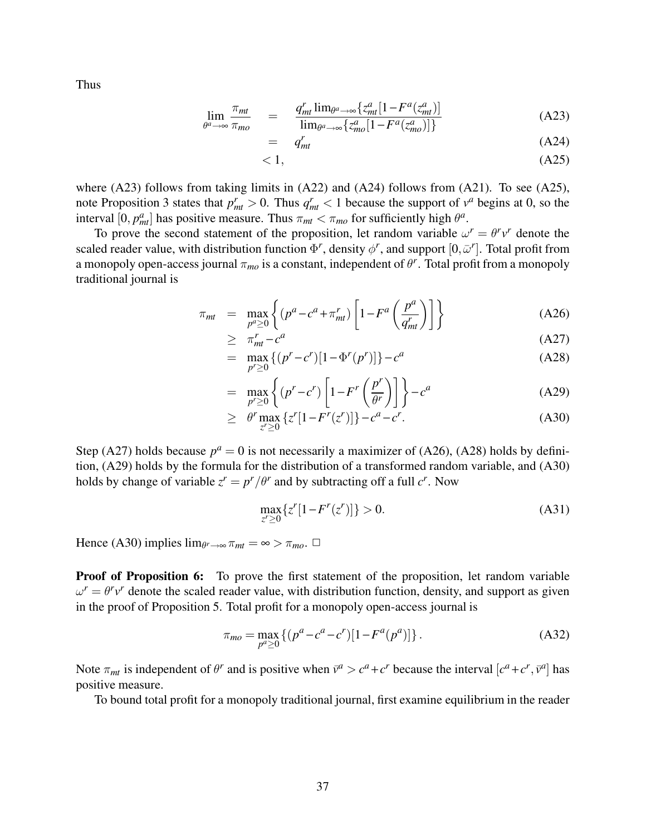Thus

$$
\lim_{\theta^a \to \infty} \frac{\pi_{mt}}{\pi_{mo}} = \frac{q_{mt}^r \lim_{\theta^a \to \infty} \{z_{mt}^a [1 - F^a(z_{mt}^a)]}{\lim_{\theta^a \to \infty} \{z_{mo}^a [1 - F^a(z_{mo}^a)]\}}
$$
(A23)

$$
= q_{mt}^{r} \tag{A24}
$$

$$
\langle 1, \tag{A25}
$$

where  $(A23)$  follows from taking limits in  $(A22)$  and  $(A24)$  follows from  $(A21)$ . To see  $(A25)$ , note Proposition 3 states that  $p_{mt}^r > 0$ . Thus  $q_{mt}^r < 1$  because the support of  $v^a$  begins at 0, so the interval [0,  $p_{mt}^a$ ] has positive measure. Thus  $\pi_{mt} < \pi_{mo}$  for sufficiently high  $\theta^a$ .

To prove the second statement of the proposition, let random variable  $\omega^r = \theta^r v^r$  denote the scaled reader value, with distribution function  $\Phi^r$ , density  $\phi^r$ , and support  $[0,\bar{\omega}^r]$ . Total profit from a monopoly open-access journal  $\pi_{mo}$  is a constant, independent of  $\theta^r$ . Total profit from a monopoly traditional journal is

$$
\pi_{mt} = \max_{p^a \ge 0} \left\{ (p^a - c^a + \pi_{mt}^r) \left[ 1 - F^a \left( \frac{p^a}{q_{mt}^r} \right) \right] \right\} \tag{A26}
$$

$$
\geq \pi_{mt}^r - c^a \tag{A27}
$$

$$
= \max_{p^r \ge 0} \left\{ (p^r - c^r) [1 - \Phi^r(p^r)] \right\} - c^a \tag{A28}
$$

$$
= \max_{p' \ge 0} \left\{ (p^r - c^r) \left[ 1 - F^r \left( \frac{p^r}{\theta^r} \right) \right] \right\} - c^a \tag{A29}
$$

$$
\geq \theta^r \max_{z' \geq 0} \{z'[1 - F^r(z')] \} - c^a - c^r. \tag{A30}
$$

Step (A27) holds because  $p^a = 0$  is not necessarily a maximizer of (A26), (A28) holds by definition, (A29) holds by the formula for the distribution of a transformed random variable, and (A30) holds by change of variable  $z^r = p^r / \theta^r$  and by subtracting off a full  $c^r$ . Now

$$
\max_{z' \ge 0} \{ z'[1 - F'(z')] \} > 0.
$$
 (A31)

Hence (A30) implies  $\lim_{\theta^r \to \infty} \pi_{mt} = \infty > \pi_{mo}$ .  $\Box$ 

**Proof of Proposition 6:** To prove the first statement of the proposition, let random variable  $\omega^r = \theta^r v^r$  denote the scaled reader value, with distribution function, density, and support as given in the proof of Proposition 5. Total profit for a monopoly open-access journal is

$$
\pi_{mo} = \max_{p^a \ge 0} \left\{ (p^a - c^a - c^r) [1 - F^a(p^a)] \right\}.
$$
 (A32)

Note  $\pi_{mt}$  is independent of  $\theta^r$  and is positive when  $\bar{v}^a > c^a + c^r$  because the interval  $[c^a + c^r, \bar{v}^a]$  has positive measure.

To bound total profit for a monopoly traditional journal, first examine equilibrium in the reader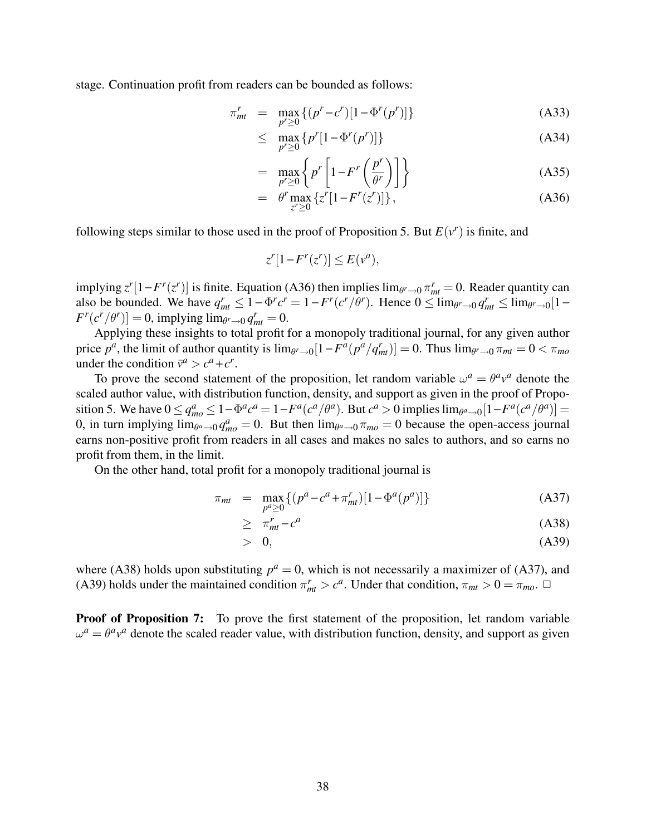stage. Continuation profit from readers can be bounded as follows:

$$
\pi_{mt}^r = \max_{p' \ge 0} \{ (p^r - c^r) [1 - \Phi^r(p^r)] \}
$$
 (A33)

$$
\leq \max_{p' \geq 0} \{ p' [1 - \Phi^r(p')] \} \tag{A34}
$$

$$
= \max_{p^r \ge 0} \left\{ p^r \left[ 1 - F^r \left( \frac{p^r}{\theta^r} \right) \right] \right\} \tag{A35}
$$

$$
= \theta^r \max_{z^r \ge 0} \{ z^r [1 - F^r(z^r)] \}, \tag{A36}
$$

following steps similar to those used in the proof of Proposition 5. But  $E(v^r)$  is finite, and

$$
z^{r}[1 - F^{r}(z^{r})] \leq E(v^{a}),
$$

implying  $z^r[1-F^r(z^r)]$  is finite. Equation (A36) then implies  $\lim_{\theta^r \to 0} \pi_{mt}^r = 0$ . Reader quantity can also be bounded. We have  $q_{mt}^r \leq 1 - \Phi^r c^r = 1 - F^r (c^r / \theta^r)$ . Hence  $0 \leq \lim_{\theta^r \to 0} q_{mt}^r \leq \lim_{\theta^r \to 0} [1 F^r(c^r/\theta^r)]=0$ , implying  $\lim_{\theta^r\to 0}q_{mt}^r=0$ .

Applying these insights to total profit for a monopoly traditional journal, for any given author price  $p^a$ , the limit of author quantity is  $\lim_{\theta^r \to 0} [1 - F^a(p^a/q^r_m)] = 0$ . Thus  $\lim_{\theta^r \to 0} \pi_{mt} = 0 < \pi_{mo}$ under the condition  $\bar{v}^a > c^a + c^r$ .

To prove the second statement of the proposition, let random variable  $\omega^a = \theta^a v^a$  denote the scaled author value, with distribution function, density, and support as given in the proof of Proposition 5. We have  $0 \le q_{mo}^a \le 1 - \Phi^a c^a = 1 - F^a(c^a/\theta^a)$ . But  $c^a > 0$  implies  $\lim_{\theta^a \to 0} [1 - F^a(c^a/\theta^a)] =$ 0, in turn implying  $\lim_{\theta^a \to 0} q_{mo}^a = 0$ . But then  $\lim_{\theta^a \to 0} \pi_{mo} = 0$  because the open-access journal earns non-positive profit from readers in all cases and makes no sales to authors, and so earns no profit from them, in the limit.

On the other hand, total profit for a monopoly traditional journal is

$$
\pi_{mt} = \max_{p^a \ge 0} \{ (p^a - c^a + \pi_{mt}^r) [1 - \Phi^a(p^a)] \}
$$
 (A37)

$$
\geq \pi_{mt}^r - c^a \tag{A38}
$$

$$
> 0, \tag{A39}
$$

where (A38) holds upon substituting  $p^a = 0$ , which is not necessarily a maximizer of (A37), and (A39) holds under the maintained condition  $\pi_{mt}^r > c^a$ . Under that condition,  $\pi_{mt} > 0 = \pi_{mo}$ .  $\Box$ 

**Proof of Proposition 7:** To prove the first statement of the proposition, let random variable  $\omega^a = \theta^a v^a$  denote the scaled reader value, with distribution function, density, and support as given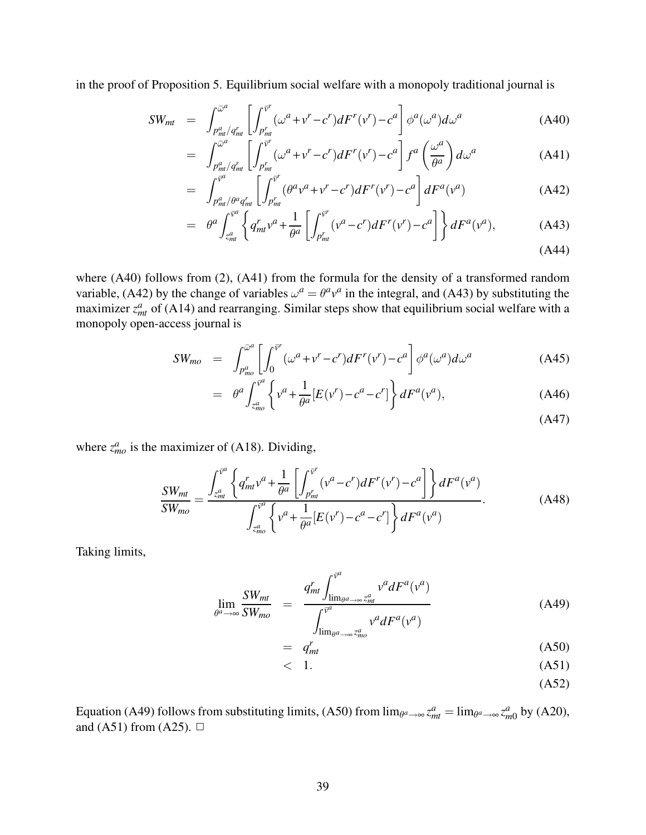in the proof of Proposition 5. Equilibrium social welfare with a monopoly traditional journal is

$$
SW_{mt} = \int_{p_{mt}^a/q_{mt}^r}^{\bar{\omega}^a} \left[ \int_{p_{mt}^r}^{\bar{v}^r} (\omega^a + v^r - c^r) dF^r(v^r) - c^a \right] \phi^a(\omega^a) d\omega^a \tag{A40}
$$

$$
= \int_{\substack{p_{m}^{a} \neq q_{m}^{r} \\ \sigma_{m}^{q}}}^{\bar{\omega}^{a}} \left[ \int_{\substack{p_{m}^{r} \\ \sigma_{m}^{q}}}^{\bar{v}^{r}} (\omega^{a} + v^{r} - c^{r}) dF^{r} (v^{r}) - c^{a} \right] f^{a} \left( \frac{\omega^{a}}{\theta^{a}} \right) d\omega^{a}
$$
(A41)

$$
= \int_{p_{mt}^a/\theta^a q_{mt}^r}^{\overline{v}^a} \left[ \int_{p_{mt}^r}^{\overline{v}^r} (\theta^a v^a + v^r - c^r) dF^r(v^r) - c^a \right] dF^a(v^a) \tag{A42}
$$

$$
= \theta^a \int_{z_{mt}^a}^{\overline{v}^a} \left\{ q_{mt}^r v^a + \frac{1}{\theta^a} \left[ \int_{p_{mt}^r}^{\overline{v}^r} (v^a - c^r) dF^r(v^r) - c^a \right] \right\} dF^a(v^a), \tag{A43}
$$

$$
(A44)
$$

where (A40) follows from (2), (A41) from the formula for the density of a transformed random variable, (A42) by the change of variables  $\omega^a = \theta^a v^a$  in the integral, and (A43) by substituting the maximizer  $z_{mt}^a$  of (A14) and rearranging. Similar steps show that equilibrium social welfare with a monopoly open-access journal is

$$
SW_{mo} = \int_{P_{mo}^a}^{\overline{\omega}^a} \left[ \int_0^{\overline{v}^r} (\omega^a + v^r - c^r) dF^r(v^r) - c^a \right] \phi^a(\omega^a) d\omega^a \tag{A45}
$$

$$
= \theta^a \int_{z_{mo}^a}^{\overline{v}^a} \left\{ v^a + \frac{1}{\theta^a} [E(v^r) - c^a - c^r] \right\} dF^a(v^a), \tag{A46}
$$

(A47)

where  $z_{mo}^a$  is the maximizer of (A18). Dividing,

$$
\frac{SW_{mt}}{SW_{mo}} = \frac{\int_{z_{mt}^a}^{\bar{v}^a} \left\{ q_{mt}^r v^a + \frac{1}{\theta^a} \left[ \int_{p_{mt}^r}^{\bar{v}^r} (v^a - c^r) dF^r (v^r) - c^a \right] \right\} dF^a (v^a)}{\int_{z_{mo}^a}^{\bar{v}^a} \left\{ v^a + \frac{1}{\theta^a} [E(v^r) - c^a - c^r] \right\} dF^a (v^a)}.
$$
\n(A48)

Taking limits,

$$
\lim_{\theta^a \to \infty} \frac{SW_{mt}}{SW_{mo}} = \frac{q_{mt}^r \int_{\lim_{\theta^a \to \infty} z_{mt}^a}^{\bar{v}^a} v^a dF^a(v^a)}{\int_{\lim_{\theta^a \to \infty} z_{mo}^a} v^a dF^a(v^a)}
$$
(A49)

$$
= q_{mt}^r \tag{A50}
$$

- $< 1.$  (A51)
	- (A52)

Equation (A49) follows from substituting limits, (A50) from  $\lim_{\theta^a \to \infty} z_{mt}^a = \lim_{\theta^a \to \infty} z_{m0}^a$  by (A20), and (A51) from (A25).  $\Box$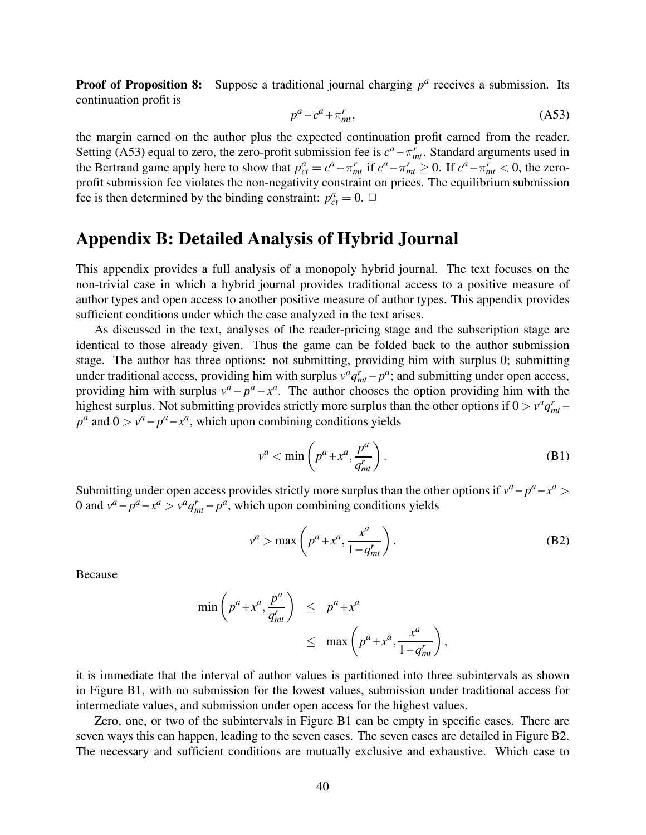**Proof of Proposition 8:** Suppose a traditional journal charging  $p^a$  receives a submission. Its continuation profit is

$$
p^a - c^a + \pi_{mt}^r,\tag{A53}
$$

the margin earned on the author plus the expected continuation profit earned from the reader. Setting (A53) equal to zero, the zero-profit submission fee is  $c^a - \pi_{mt}^r$ . Standard arguments used in the Bertrand game apply here to show that  $p_{ct}^a = c^a - \pi_{mt}^r$  if  $c^a - \pi_{mt}^r \ge 0$ . If  $c^a - \pi_{mt}^r < 0$ , the zeroprofit submission fee violates the non-negativity constraint on prices. The equilibrium submission fee is then determined by the binding constraint:  $p_{ct}^a = 0$ .  $\Box$ 

# Appendix B: Detailed Analysis of Hybrid Journal

This appendix provides a full analysis of a monopoly hybrid journal. The text focuses on the non-trivial case in which a hybrid journal provides traditional access to a positive measure of author types and open access to another positive measure of author types. This appendix provides sufficient conditions under which the case analyzed in the text arises.

As discussed in the text, analyses of the reader-pricing stage and the subscription stage are identical to those already given. Thus the game can be folded back to the author submission stage. The author has three options: not submitting, providing him with surplus 0; submitting under traditional access, providing him with surplus  $v^a q_{mt}^r - p^a$ ; and submitting under open access, providing him with surplus  $v^a - p^a - x^a$ . The author chooses the option providing him with the highest surplus. Not submitting provides strictly more surplus than the other options if  $0 > v^q q_{mt}^r$  $p^a$  and  $0 > v^a - p^a - x^a$ , which upon combining conditions yields

$$
v^a < \min\left(p^a + x^a, \frac{p^a}{q_m^r}\right). \tag{B1}
$$

Submitting under open access provides strictly more surplus than the other options if  $v^a - p^a - x^a >$ 0 and  $v^a - p^a - x^a > v^a q_{mt}^r - p^a$ , which upon combining conditions yields

$$
v^a > \max\left(p^a + x^a, \frac{x^a}{1 - q_{mt}^r}\right). \tag{B2}
$$

Because

$$
\min\left(p^a + x^a, \frac{p^a}{q_{mt}^r}\right) \le p^a + x^a
$$
  

$$
\le \max\left(p^a + x^a, \frac{x^a}{1 - q_{mt}^r}\right),
$$

it is immediate that the interval of author values is partitioned into three subintervals as shown in Figure B1, with no submission for the lowest values, submission under traditional access for intermediate values, and submission under open access for the highest values.

Zero, one, or two of the subintervals in Figure B1 can be empty in specific cases. There are seven ways this can happen, leading to the seven cases. The seven cases are detailed in Figure B2. The necessary and sufficient conditions are mutually exclusive and exhaustive. Which case to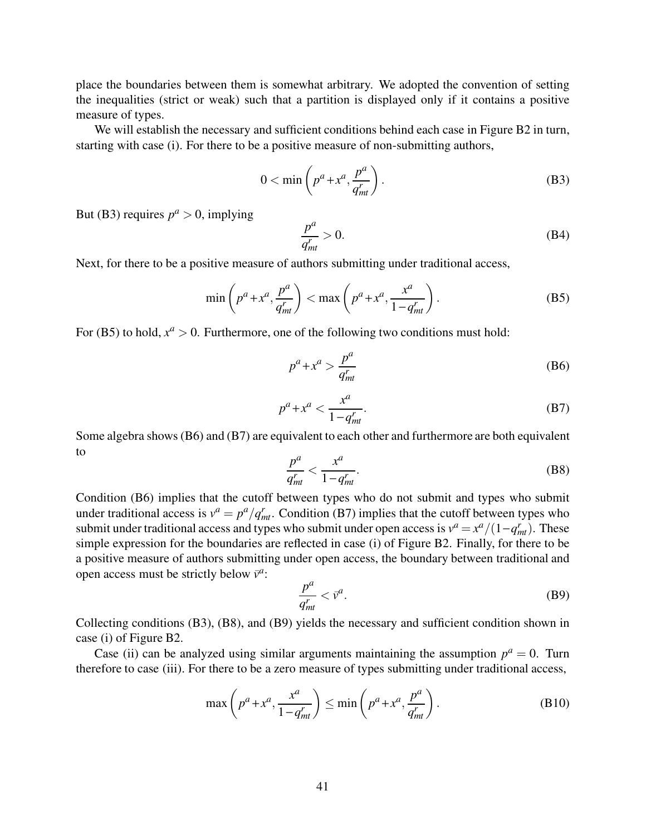place the boundaries between them is somewhat arbitrary. We adopted the convention of setting the inequalities (strict or weak) such that a partition is displayed only if it contains a positive measure of types.

We will establish the necessary and sufficient conditions behind each case in Figure B2 in turn, starting with case (i). For there to be a positive measure of non-submitting authors,

$$
0 < \min\left(p^a + x^a, \frac{p^a}{q_{mt}^r}\right). \tag{B3}
$$

But (B3) requires  $p^a > 0$ , implying

$$
\frac{p^a}{q_{mt}^r} > 0. \tag{B4}
$$

Next, for there to be a positive measure of authors submitting under traditional access,

$$
\min\left(p^a + x^a, \frac{p^a}{q_{mt}^r}\right) < \max\left(p^a + x^a, \frac{x^a}{1 - q_{mt}^r}\right). \tag{B5}
$$

For (B5) to hold,  $x^a > 0$ . Furthermore, one of the following two conditions must hold:

$$
p^a + x^a > \frac{p^a}{q_{mt}^r} \tag{B6}
$$

$$
p^a + x^a < \frac{x^a}{1 - q_{mt}^r}.\tag{B7}
$$

Some algebra shows (B6) and (B7) are equivalent to each other and furthermore are both equivalent to

$$
\frac{p^a}{q_{mt}^r} < \frac{x^a}{1 - q_{mt}^r}.\tag{B8}
$$

Condition (B6) implies that the cutoff between types who do not submit and types who submit under traditional access is  $v^a = p^a/q_{mt}^r$ . Condition (B7) implies that the cutoff between types who submit under traditional access and types who submit under open access is  $v^a = x^a/(1-q_{mt}^r)$ . These simple expression for the boundaries are reflected in case (i) of Figure B2. Finally, for there to be a positive measure of authors submitting under open access, the boundary between traditional and open access must be strictly below  $\bar{v}^a$ :

$$
\frac{p^a}{q_{mt}^r} < \bar{v}^a. \tag{B9}
$$

Collecting conditions (B3), (B8), and (B9) yields the necessary and sufficient condition shown in case (i) of Figure B2.

Case (ii) can be analyzed using similar arguments maintaining the assumption  $p^a = 0$ . Turn therefore to case (iii). For there to be a zero measure of types submitting under traditional access,

$$
\max\left(p^a + x^a, \frac{x^a}{1 - q_{mt}^r}\right) \le \min\left(p^a + x^a, \frac{p^a}{q_{mt}^r}\right). \tag{B10}
$$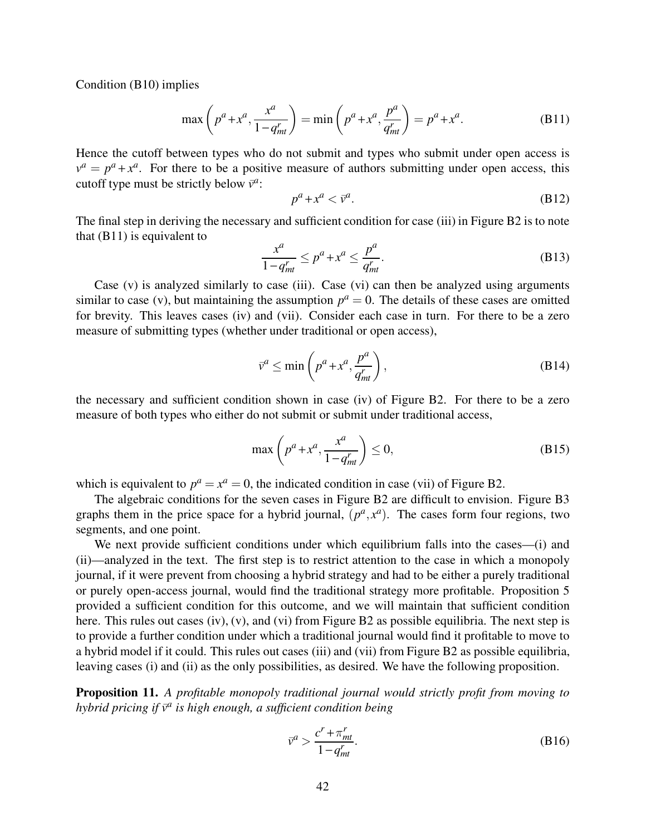Condition (B10) implies

$$
\max\left(p^a + x^a, \frac{x^a}{1 - q_{mt}^r}\right) = \min\left(p^a + x^a, \frac{p^a}{q_{mt}^r}\right) = p^a + x^a. \tag{B11}
$$

Hence the cutoff between types who do not submit and types who submit under open access is  $v^a = p^a + x^a$ . For there to be a positive measure of authors submitting under open access, this cutoff type must be strictly below  $\overline{v}^a$ :

$$
p^a + x^a < \bar{v}^a. \tag{B12}
$$

The final step in deriving the necessary and sufficient condition for case (iii) in Figure B2 is to note that (B11) is equivalent to

$$
\frac{x^a}{1 - q_{mt}^r} \le p^a + x^a \le \frac{p^a}{q_{mt}^r}.
$$
\n(B13)

Case  $(v)$  is analyzed similarly to case (iii). Case  $(vi)$  can then be analyzed using arguments similar to case (v), but maintaining the assumption  $p^a = 0$ . The details of these cases are omitted for brevity. This leaves cases (iv) and (vii). Consider each case in turn. For there to be a zero measure of submitting types (whether under traditional or open access),

$$
\bar{v}^a \le \min\left(p^a + x^a, \frac{p^a}{q_{mt}^r}\right),\tag{B14}
$$

the necessary and sufficient condition shown in case (iv) of Figure B2. For there to be a zero measure of both types who either do not submit or submit under traditional access,

$$
\max\left(p^a + x^a, \frac{x^a}{1 - q_{mt}^r}\right) \le 0,\tag{B15}
$$

which is equivalent to  $p^a = x^a = 0$ , the indicated condition in case (vii) of Figure B2.

The algebraic conditions for the seven cases in Figure B2 are difficult to envision. Figure B3 graphs them in the price space for a hybrid journal,  $(p^a, x^a)$ . The cases form four regions, two segments, and one point.

We next provide sufficient conditions under which equilibrium falls into the cases—(i) and (ii)—analyzed in the text. The first step is to restrict attention to the case in which a monopoly journal, if it were prevent from choosing a hybrid strategy and had to be either a purely traditional or purely open-access journal, would find the traditional strategy more profitable. Proposition 5 provided a sufficient condition for this outcome, and we will maintain that sufficient condition here. This rules out cases (iv), (v), and (vi) from Figure B2 as possible equilibria. The next step is to provide a further condition under which a traditional journal would find it profitable to move to a hybrid model if it could. This rules out cases (iii) and (vii) from Figure B2 as possible equilibria, leaving cases (i) and (ii) as the only possibilities, as desired. We have the following proposition.

**Proposition 11.** A profitable monopoly traditional journal would strictly profit from moving to hybrid pricing if  $\bar{v}^a$  is high enough, a sufficient condition being

$$
\bar{v}^a > \frac{c^r + \pi_{mt}^r}{1 - q_{mt}^r}.\tag{B16}
$$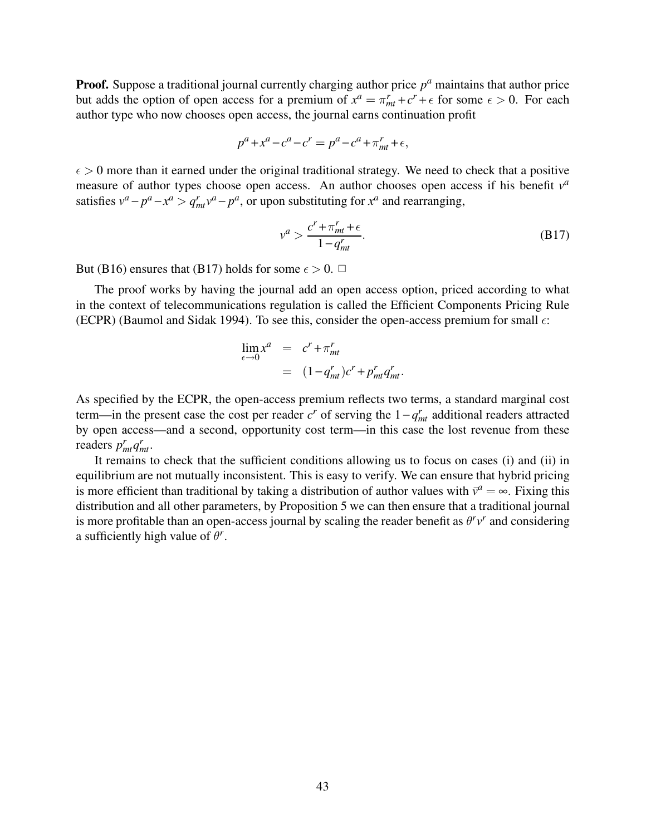**Proof.** Suppose a traditional journal currently charging author price  $p^a$  maintains that author price but adds the option of open access for a premium of  $x^a = \pi_{mt}^r + c^r + \epsilon$  for some  $\epsilon > 0$ . For each author type who now chooses open access, the journal earns continuation profit

$$
p^{a} + x^{a} - c^{a} - c^{r} = p^{a} - c^{a} + \pi_{mt}^{r} + \epsilon,
$$

 $\epsilon > 0$  more than it earned under the original traditional strategy. We need to check that a positive measure of author types choose open access. An author chooses open access if his benefit  $v^a$ satisfies  $v^a - p^a - x^a > q_{mt}^r v^a - p^a$ , or upon substituting for  $x^a$  and rearranging,

$$
v^a > \frac{c^r + \pi_{mt}^r + \epsilon}{1 - q_{mt}^r}.
$$
 (B17)

But (B16) ensures that (B17) holds for some  $\epsilon > 0$ .  $\Box$ 

The proof works by having the journal add an open access option, priced according to what in the context of telecommunications regulation is called the Efficient Components Pricing Rule (ECPR) (Baumol and Sidak 1994). To see this, consider the open-access premium for small  $\epsilon$ :

$$
\lim_{\epsilon \to 0} x^a = c^r + \pi_{mt}^r
$$
  
= 
$$
(1 - q_{mt}^r)c^r + p_{mt}^r q_{mt}^r.
$$

As specified by the ECPR, the open-access premium reflects two terms, a standard marginal cost term—in the present case the cost per reader  $c^r$  of serving the  $1 - q_{mt}^r$  additional readers attracted by open access—and a second, opportunity cost term—in this case the lost revenue from these readers  $p_{mt}^r q_{mt}^r$ .

It remains to check that the sufficient conditions allowing us to focus on cases (i) and (ii) in equilibrium are not mutually inconsistent. This is easy to verify. We can ensure that hybrid pricing is more efficient than traditional by taking a distribution of author values with  $\bar{v}^a = \infty$ . Fixing this distribution and all other parameters, by Proposition 5 we can then ensure that a traditional journal is more profitable than an open-access journal by scaling the reader benefit as  $\theta^r v^r$  and considering a sufficiently high value of  $\theta^r$ .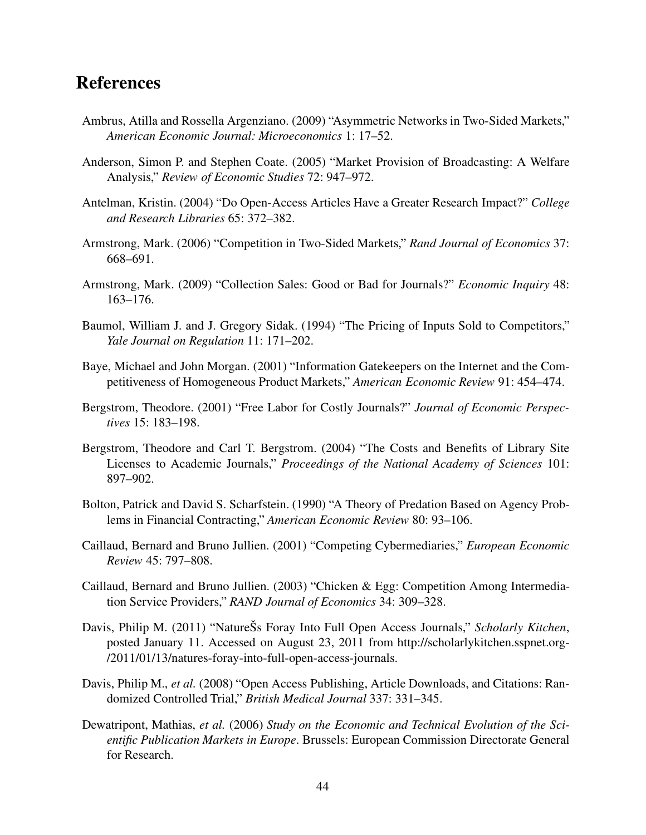# References

- Ambrus, Atilla and Rossella Argenziano. (2009) "Asymmetric Networks in Two-Sided Markets," American Economic Journal: Microeconomics 1: 17–52.
- Anderson, Simon P. and Stephen Coate. (2005) "Market Provision of Broadcasting: A Welfare Analysis," Review of Economic Studies 72: 947–972.
- Antelman, Kristin. (2004) "Do Open-Access Articles Have a Greater Research Impact?" College and Research Libraries 65: 372–382.
- Armstrong, Mark. (2006) "Competition in Two-Sided Markets," Rand Journal of Economics 37: 668–691.
- Armstrong, Mark. (2009) "Collection Sales: Good or Bad for Journals?" Economic Inquiry 48: 163–176.
- Baumol, William J. and J. Gregory Sidak. (1994) "The Pricing of Inputs Sold to Competitors," Yale Journal on Regulation 11: 171–202.
- Baye, Michael and John Morgan. (2001) "Information Gatekeepers on the Internet and the Competitiveness of Homogeneous Product Markets," American Economic Review 91: 454–474.
- Bergstrom, Theodore. (2001) "Free Labor for Costly Journals?" Journal of Economic Perspectives 15: 183–198.
- Bergstrom, Theodore and Carl T. Bergstrom. (2004) "The Costs and Benefits of Library Site Licenses to Academic Journals," Proceedings of the National Academy of Sciences 101: 897–902.
- Bolton, Patrick and David S. Scharfstein. (1990) "A Theory of Predation Based on Agency Problems in Financial Contracting," American Economic Review 80: 93–106.
- Caillaud, Bernard and Bruno Jullien. (2001) "Competing Cybermediaries," European Economic Review 45: 797–808.
- Caillaud, Bernard and Bruno Jullien. (2003) "Chicken & Egg: Competition Among Intermediation Service Providers," RAND Journal of Economics 34: 309-328.
- Davis, Philip M. (2011) "NatureŠs Foray Into Full Open Access Journals," Scholarly Kitchen, posted January 11. Accessed on August 23, 2011 from http://scholarlykitchen.sspnet.org- /2011/01/13/natures-foray-into-full-open-access-journals.
- Davis, Philip M., et al. (2008) "Open Access Publishing, Article Downloads, and Citations: Randomized Controlled Trial," British Medical Journal 337: 331–345.
- Dewatripont, Mathias, et al. (2006) Study on the Economic and Technical Evolution of the Scientific Publication Markets in Europe. Brussels: European Commission Directorate General for Research.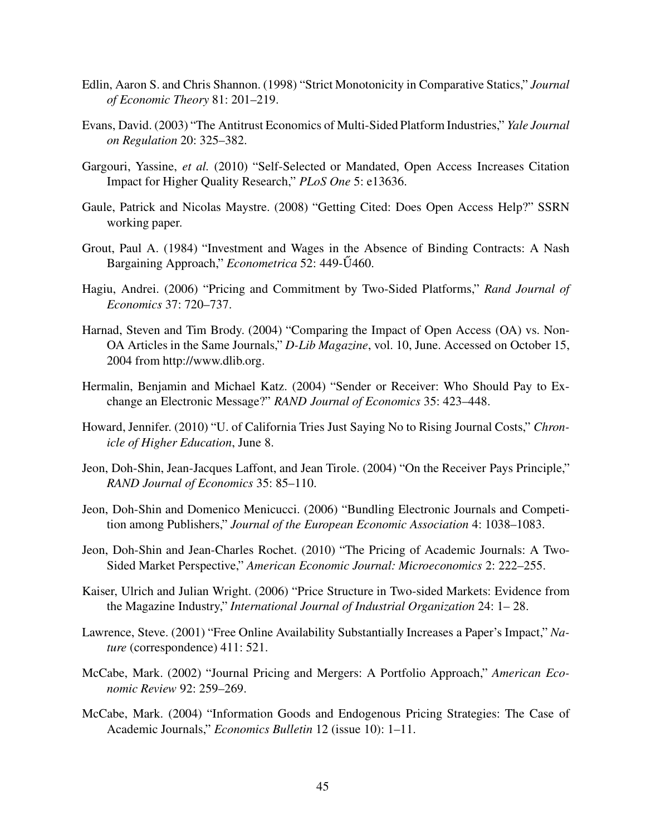- Edlin, Aaron S. and Chris Shannon. (1998) "Strict Monotonicity in Comparative Statics," Journal of Economic Theory 81: 201–219.
- Evans, David. (2003) "The Antitrust Economics of Multi-Sided Platform Industries," Yale Journal on Regulation 20: 325–382.
- Gargouri, Yassine, et al. (2010) "Self-Selected or Mandated, Open Access Increases Citation Impact for Higher Quality Research," PLoS One 5: e13636.
- Gaule, Patrick and Nicolas Maystre. (2008) "Getting Cited: Does Open Access Help?" SSRN working paper.
- Grout, Paul A. (1984) "Investment and Wages in the Absence of Binding Contracts: A Nash Bargaining Approach," *Econometrica* 52: 449-Ú460.
- Hagiu, Andrei. (2006) "Pricing and Commitment by Two-Sided Platforms," Rand Journal of Economics 37: 720–737.
- Harnad, Steven and Tim Brody. (2004) "Comparing the Impact of Open Access (OA) vs. Non-OA Articles in the Same Journals," D-Lib Magazine, vol. 10, June. Accessed on October 15, 2004 from http://www.dlib.org.
- Hermalin, Benjamin and Michael Katz. (2004) "Sender or Receiver: Who Should Pay to Exchange an Electronic Message?" RAND Journal of Economics 35: 423–448.
- Howard, Jennifer. (2010) "U. of California Tries Just Saying No to Rising Journal Costs," Chronicle of Higher Education, June 8.
- Jeon, Doh-Shin, Jean-Jacques Laffont, and Jean Tirole. (2004) "On the Receiver Pays Principle," RAND Journal of Economics 35: 85–110.
- Jeon, Doh-Shin and Domenico Menicucci. (2006) "Bundling Electronic Journals and Competition among Publishers," Journal of the European Economic Association 4: 1038–1083.
- Jeon, Doh-Shin and Jean-Charles Rochet. (2010) "The Pricing of Academic Journals: A Two-Sided Market Perspective," American Economic Journal: Microeconomics 2: 222–255.
- Kaiser, Ulrich and Julian Wright. (2006) "Price Structure in Two-sided Markets: Evidence from the Magazine Industry," International Journal of Industrial Organization 24: 1– 28.
- Lawrence, Steve. (2001) "Free Online Availability Substantially Increases a Paper's Impact," Nature (correspondence) 411: 521.
- McCabe, Mark. (2002) "Journal Pricing and Mergers: A Portfolio Approach," American Economic Review 92: 259–269.
- McCabe, Mark. (2004) "Information Goods and Endogenous Pricing Strategies: The Case of Academic Journals," Economics Bulletin 12 (issue 10): 1–11.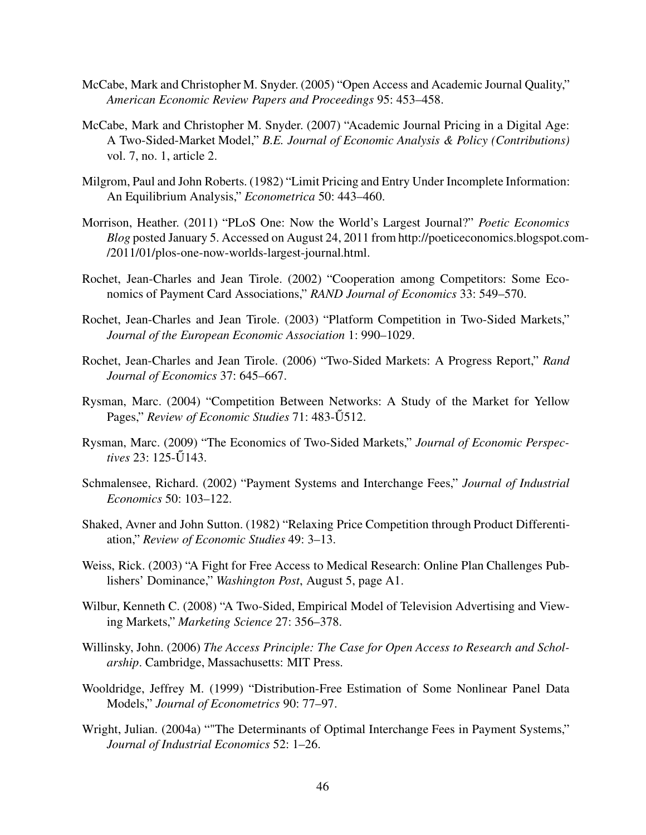- McCabe, Mark and Christopher M. Snyder. (2005) "Open Access and Academic Journal Quality," American Economic Review Papers and Proceedings 95: 453–458.
- McCabe, Mark and Christopher M. Snyder. (2007) "Academic Journal Pricing in a Digital Age: A Two-Sided-Market Model," B.E. Journal of Economic Analysis & Policy (Contributions) vol. 7, no. 1, article 2.
- Milgrom, Paul and John Roberts. (1982) "Limit Pricing and Entry Under Incomplete Information: An Equilibrium Analysis," Econometrica 50: 443–460.
- Morrison, Heather. (2011) "PLoS One: Now the World's Largest Journal?" Poetic Economics Blog posted January 5. Accessed on August 24, 2011 from http://poeticeconomics.blogspot.com- /2011/01/plos-one-now-worlds-largest-journal.html.
- Rochet, Jean-Charles and Jean Tirole. (2002) "Cooperation among Competitors: Some Economics of Payment Card Associations," RAND Journal of Economics 33: 549–570.
- Rochet, Jean-Charles and Jean Tirole. (2003) "Platform Competition in Two-Sided Markets," Journal of the European Economic Association 1: 990–1029.
- Rochet, Jean-Charles and Jean Tirole. (2006) "Two-Sided Markets: A Progress Report," Rand Journal of Economics 37: 645–667.
- Rysman, Marc. (2004) "Competition Between Networks: A Study of the Market for Yellow Pages," Review of Economic Studies 71: 483-Ű512.
- Rysman, Marc. (2009) "The Economics of Two-Sided Markets," Journal of Economic Perspectives 23: 125- $\tilde{U}$ 143.
- Schmalensee, Richard. (2002) "Payment Systems and Interchange Fees," Journal of Industrial Economics 50: 103–122.
- Shaked, Avner and John Sutton. (1982) "Relaxing Price Competition through Product Differentiation," Review of Economic Studies 49: 3–13.
- Weiss, Rick. (2003) "A Fight for Free Access to Medical Research: Online Plan Challenges Publishers' Dominance," Washington Post, August 5, page A1.
- Wilbur, Kenneth C. (2008) "A Two-Sided, Empirical Model of Television Advertising and Viewing Markets," Marketing Science 27: 356–378.
- Willinsky, John. (2006) The Access Principle: The Case for Open Access to Research and Scholarship. Cambridge, Massachusetts: MIT Press.
- Wooldridge, Jeffrey M. (1999) "Distribution-Free Estimation of Some Nonlinear Panel Data Models," Journal of Econometrics 90: 77–97.
- Wright, Julian. (2004a) ""The Determinants of Optimal Interchange Fees in Payment Systems," Journal of Industrial Economics 52: 1–26.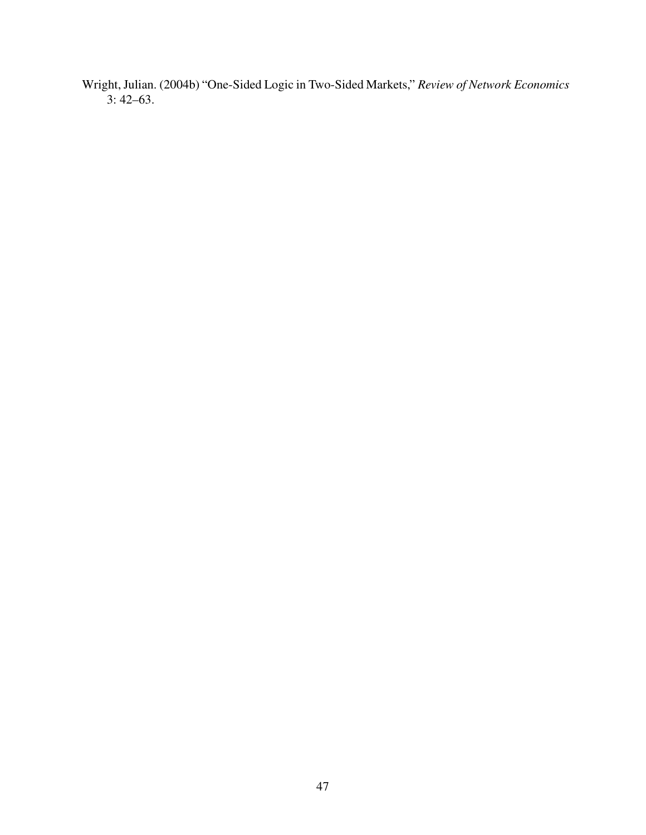Wright, Julian. (2004b) "One-Sided Logic in Two-Sided Markets," Review of Network Economics 3: 42–63.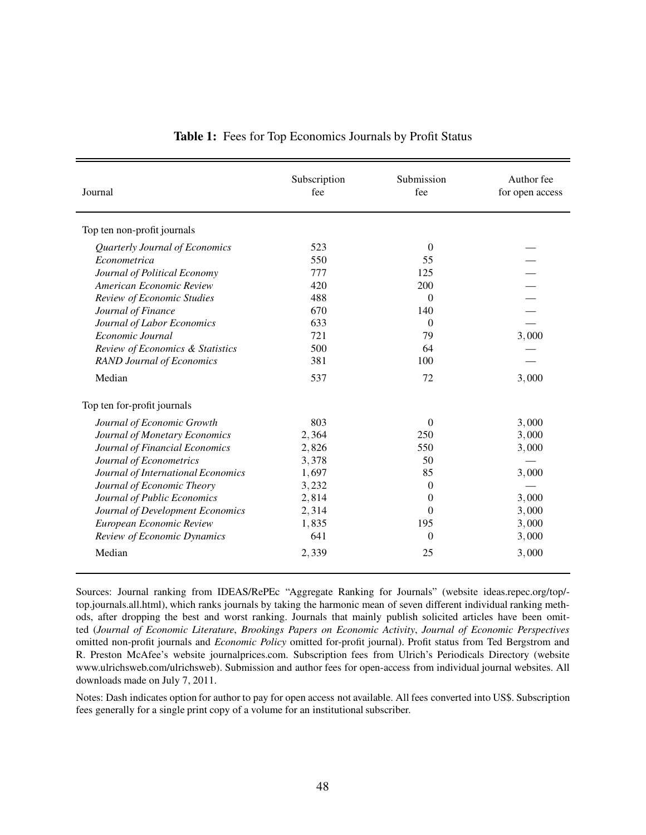| Journal                            | Subscription<br>fee | Submission<br>fee | Author fee<br>for open access |
|------------------------------------|---------------------|-------------------|-------------------------------|
| Top ten non-profit journals        |                     |                   |                               |
| Quarterly Journal of Economics     | 523                 | $\overline{0}$    |                               |
| Econometrica                       | 550                 | 55                |                               |
| Journal of Political Economy       | 777                 | 125               |                               |
| American Economic Review           | 420                 | 200               |                               |
| Review of Economic Studies         | 488                 | $\overline{0}$    |                               |
| Journal of Finance                 | 670                 | 140               |                               |
| Journal of Labor Economics         | 633                 | $\overline{0}$    |                               |
| Economic Journal                   | 721                 | 79                | 3,000                         |
| Review of Economics & Statistics   | 500                 | 64                |                               |
| <b>RAND Journal of Economics</b>   | 381                 | 100               |                               |
| Median                             | 537                 | 72                | 3,000                         |
| Top ten for-profit journals        |                     |                   |                               |
| Journal of Economic Growth         | 803                 | $\overline{0}$    | 3,000                         |
| Journal of Monetary Economics      | 2,364               | 250               | 3,000                         |
| Journal of Financial Economics     | 2,826               | 550               | 3,000                         |
| Journal of Econometrics            | 3,378               | 50                |                               |
| Journal of International Economics | 1,697               | 85                | 3,000                         |
| Journal of Economic Theory         | 3,232               | $\overline{0}$    |                               |
| Journal of Public Economics        | 2,814               | $\overline{0}$    | 3,000                         |
| Journal of Development Economics   | 2,314               | $\Omega$          | 3,000                         |
| European Economic Review           | 1,835               | 195               | 3,000                         |
| Review of Economic Dynamics        | 641                 | $\overline{0}$    | 3,000                         |
| Median                             | 2,339               | 25                | 3,000                         |

#### Table 1: Fees for Top Economics Journals by Profit Status

Sources: Journal ranking from IDEAS/RePEc "Aggregate Ranking for Journals" (website ideas.repec.org/top/ top.journals.all.html), which ranks journals by taking the harmonic mean of seven different individual ranking methods, after dropping the best and worst ranking. Journals that mainly publish solicited articles have been omitted (Journal of Economic Literature, Brookings Papers on Economic Activity, Journal of Economic Perspectives omitted non-profit journals and Economic Policy omitted for-profit journal). Profit status from Ted Bergstrom and R. Preston McAfee's website journalprices.com. Subscription fees from Ulrich's Periodicals Directory (website www.ulrichsweb.com/ulrichsweb). Submission and author fees for open-access from individual journal websites. All downloads made on July 7, 2011.

Notes: Dash indicates option for author to pay for open access not available. All fees converted into US\$. Subscription fees generally for a single print copy of a volume for an institutional subscriber.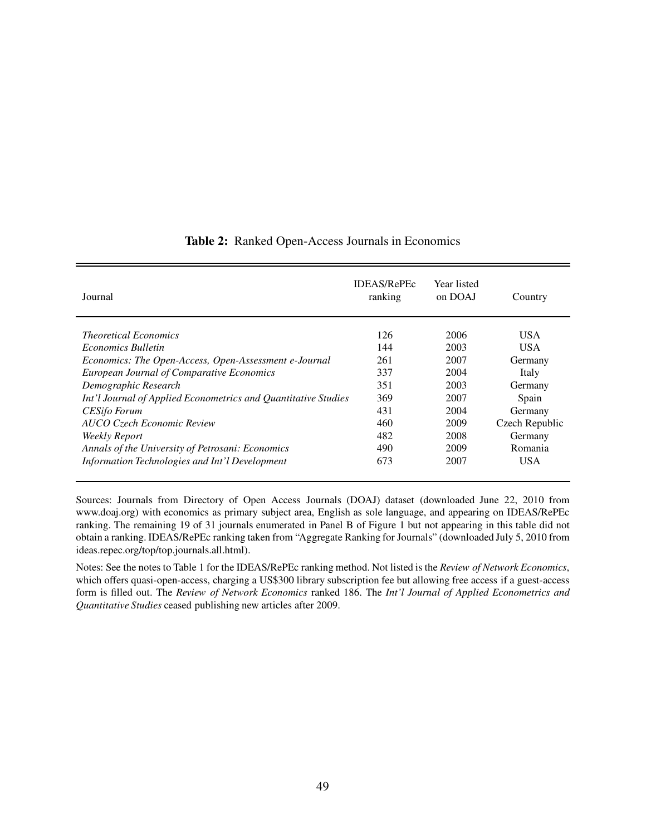| Journal                                                        | <b>IDEAS/RePEC</b><br>ranking | Year listed<br>on DOAJ | Country        |
|----------------------------------------------------------------|-------------------------------|------------------------|----------------|
| <i>Theoretical Economics</i>                                   | 126                           | 2006                   | <b>USA</b>     |
| <i>Economics Bulletin</i>                                      | 144                           | 2003                   | <b>USA</b>     |
| Economics: The Open-Access, Open-Assessment e-Journal          | 261                           | 2007                   | Germany        |
| <b>European Journal of Comparative Economics</b>               | 337                           | 2004                   | Italy          |
| Demographic Research                                           | 351                           | 2003                   | Germany        |
| Int'l Journal of Applied Econometrics and Quantitative Studies | 369                           | 2007                   | Spain          |
| <b>CESifo Forum</b>                                            | 431                           | 2004                   | Germany        |
| <b>AUCO Czech Economic Review</b>                              | 460                           | 2009                   | Czech Republic |
| <b>Weekly Report</b>                                           | 482                           | 2008                   | Germany        |
| Annals of the University of Petrosani: Economics               | 490                           | 2009                   | Romania        |
| Information Technologies and Int'l Development                 | 673                           | 2007                   | <b>USA</b>     |

#### Table 2: Ranked Open-Access Journals in Economics

Sources: Journals from Directory of Open Access Journals (DOAJ) dataset (downloaded June 22, 2010 from www.doaj.org) with economics as primary subject area, English as sole language, and appearing on IDEAS/RePEc ranking. The remaining 19 of 31 journals enumerated in Panel B of Figure 1 but not appearing in this table did not obtain a ranking. IDEAS/RePEc ranking taken from "Aggregate Ranking for Journals" (downloaded July 5, 2010 from ideas.repec.org/top/top.journals.all.html).

Notes: See the notes to Table 1 for the IDEAS/RePEc ranking method. Not listed is the Review of Network Economics, which offers quasi-open-access, charging a US\$300 library subscription fee but allowing free access if a guest-access form is filled out. The Review of Network Economics ranked 186. The Int'l Journal of Applied Econometrics and Quantitative Studies ceased publishing new articles after 2009.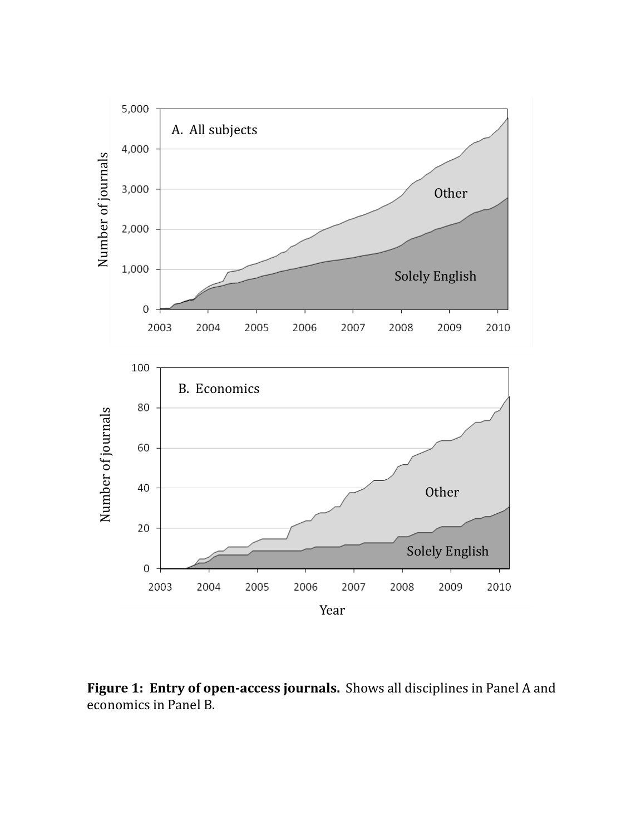

**Figure 1: Entry of open-access journals.** Shows all disciplines in Panel A and economics in Panel B.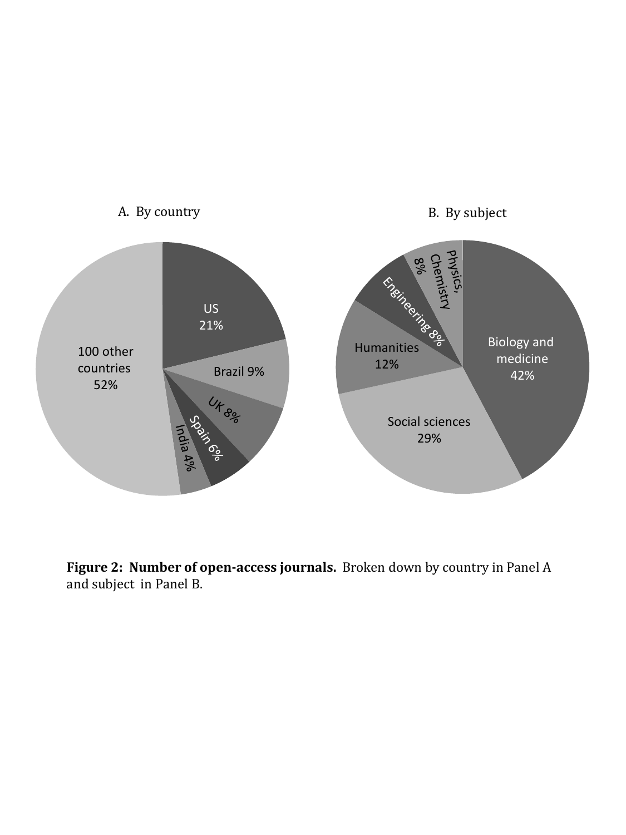

**Figure 2: Number of open-access journals.** Broken down by country in Panel A and subject in Panel B.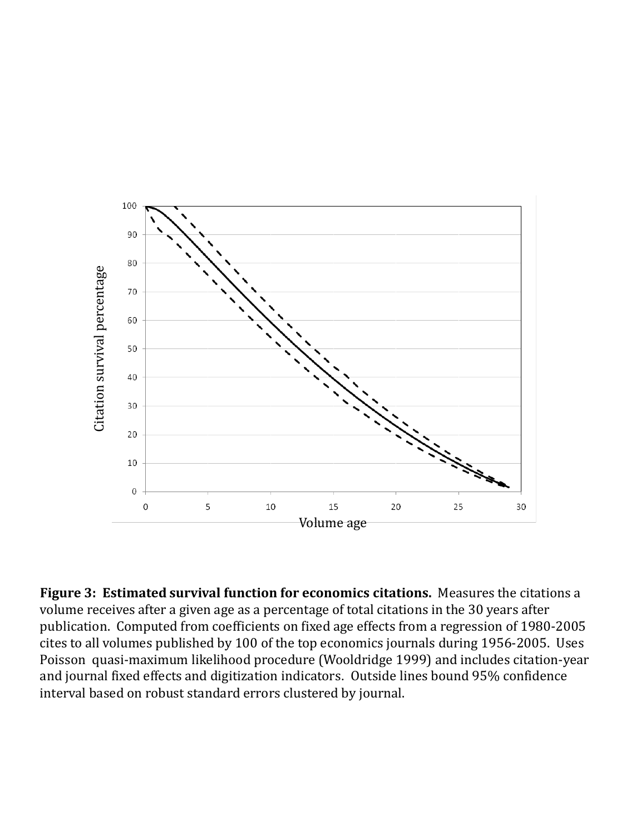

**Figure 3: Estimated survival function for economics citations.** Measures the citations a volume receives after a given age as a percentage of total citations in the 30 years after publication. Computed from coefficients on fixed age effects from a regression of 1980-2005 cites to all volumes published by 100 of the top economics journals during 1956-2005. Uses Poisson quasi-maximum likelihood procedure (Wooldridge 1999) and includes citation-year and journal fixed effects and digitization indicators. Outside lines bound 95% confidence interval based on robust standard errors clustered by journal.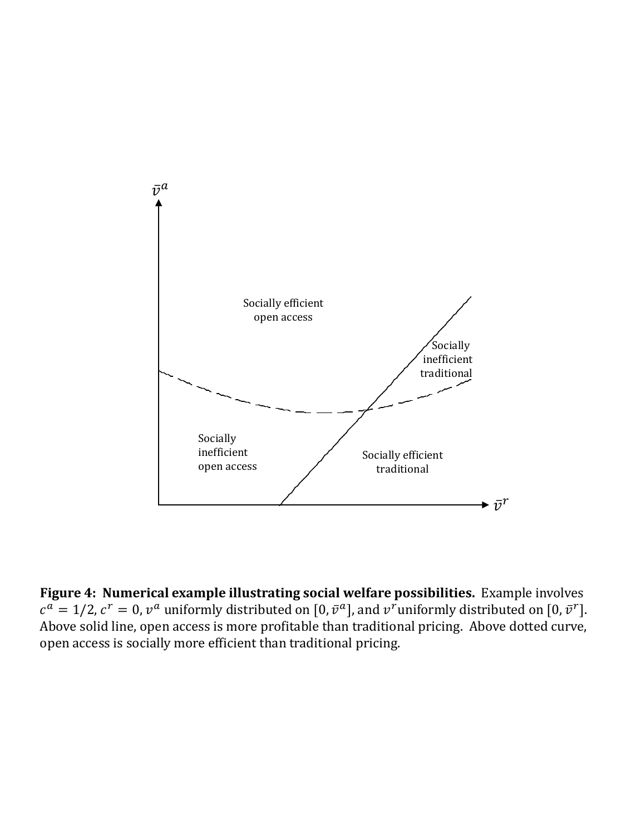

**Figure 4: Numerical example illustrating social welfare possibilities.** Example involves  $c^a = 1/2$ ,  $c^r = 0$ ,  $v^a$  uniformly distributed on  $[0, \bar{v}^a]$ , and  $v^r$  uniformly distributed on  $[0, \bar{v}^r]$ . Above solid line, open access is more profitable than traditional pricing. Above dotted curve, open access is socially more efficient than traditional pricing.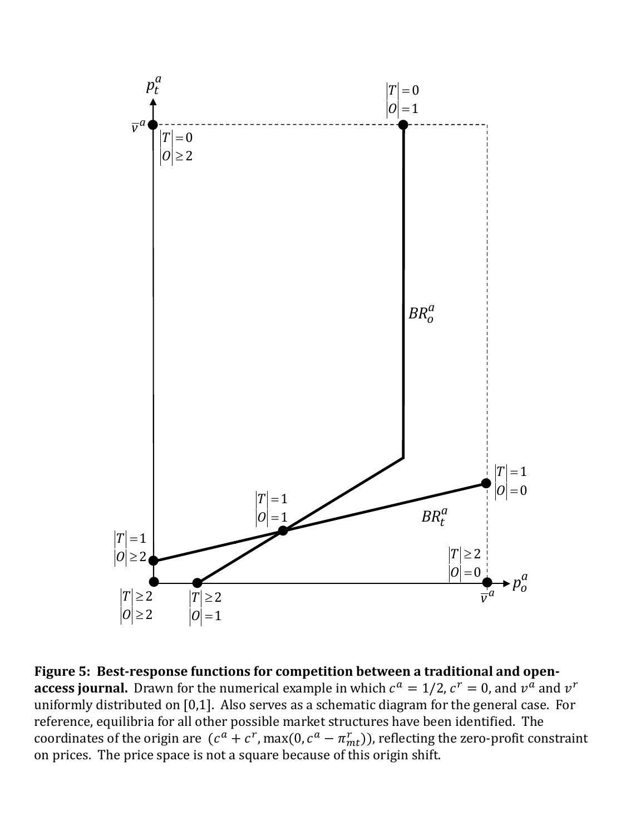

**Figure 5: Best-response functions for competition between a traditional and openaccess journal.** Drawn for the numerical example in which  $c^a = 1/2$ ,  $c^r = 0$ , and  $v^a$  and  $v^r$ uniformly distributed on [0,1]. Also serves as a schematic diagram for the general case. For reference, equilibria for all other possible market structures have been identified. The coordinates of the origin are  $(c^a + c^r, \max(0, c^a - \pi_{mt}^r))$ , reflecting the zero-profit constraint on prices. The price space is not a square because of this origin shift.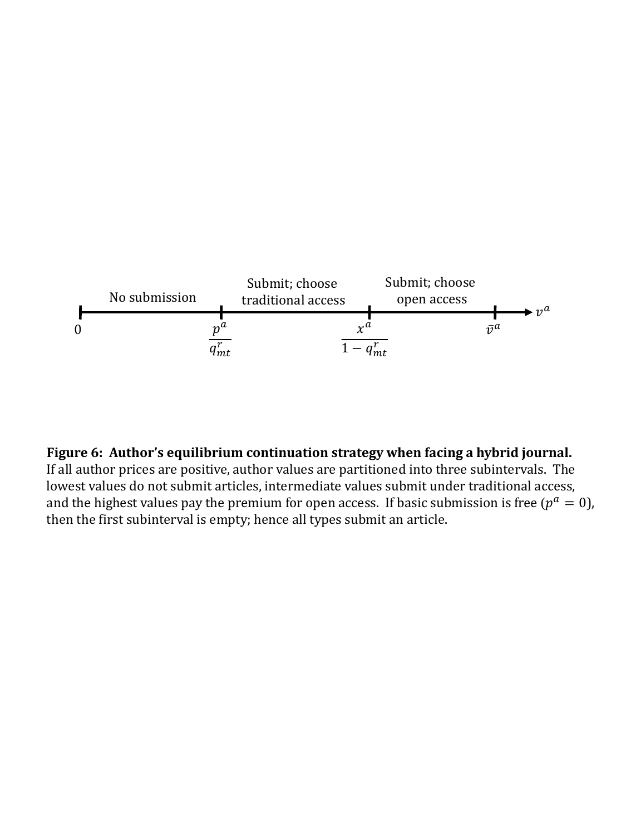

### **Figure 6: Author's equilibrium continuation strategy when facing a hybrid journal.**

If all author prices are positive, author values are partitioned into three subintervals. The lowest values do not submit articles, intermediate values submit under traditional access, and the highest values pay the premium for open access. If basic submission is free ( $p^a = 0$ ), then the first subinterval is empty; hence all types submit an article.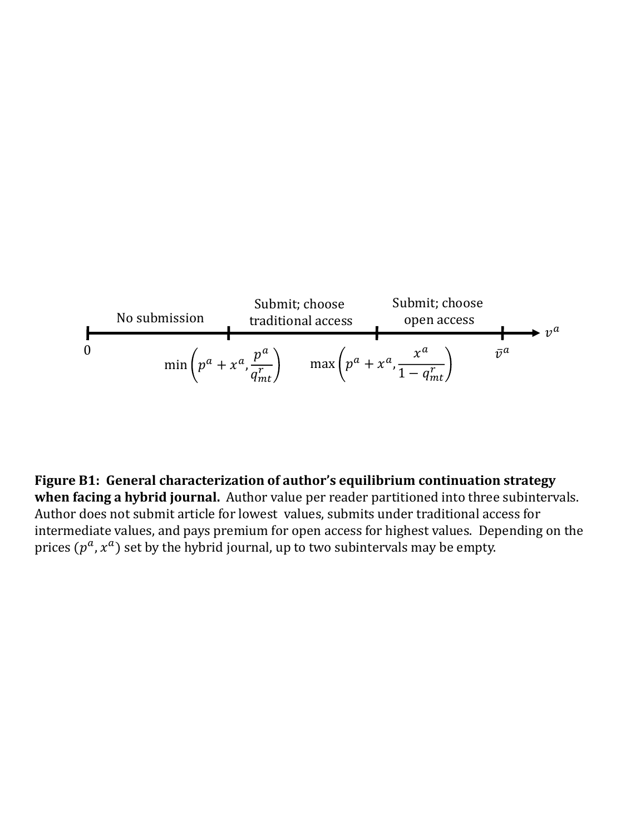

**Figure B1: General characterization of author's equilibrium continuation strategy when facing a hybrid journal.** Author value per reader partitioned into three subintervals. Author does not submit article for lowest values, submits under traditional access for intermediate values, and pays premium for open access for highest values. Depending on the prices  $(p^a, x^a)$  set by the hybrid journal, up to two subintervals may be empty.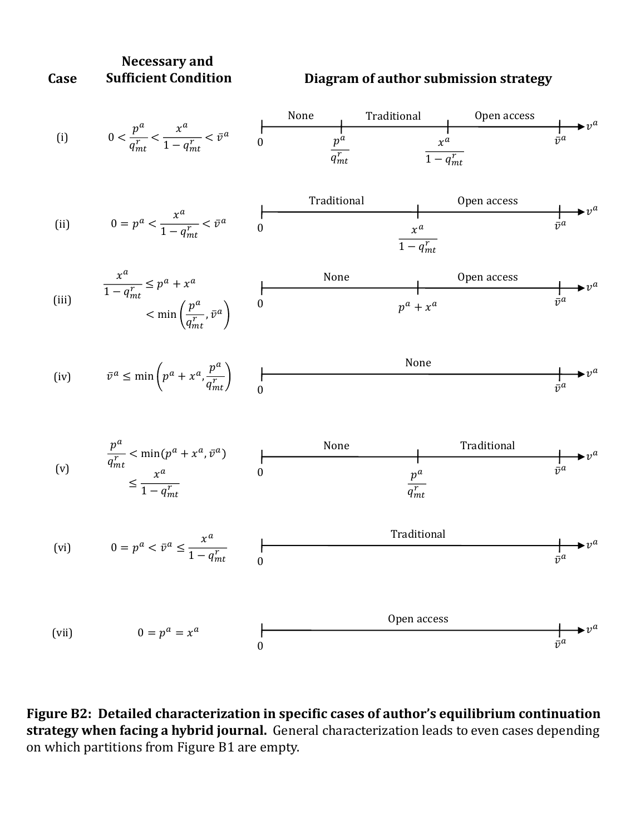



**Figure B2: Detailed characterization in specific cases of author's equilibrium continuation strategy when facing a hybrid journal.** General characterization leads to even cases depending on which partitions from Figure B1 are empty.